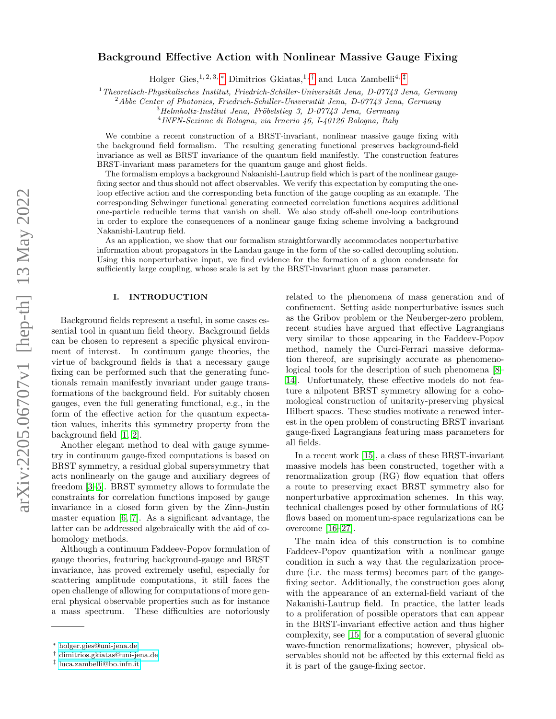# Background Effective Action with Nonlinear Massive Gauge Fixing

Holger Gies,<sup>1, 2, 3, \*</sup> Dimitrios Gkiatas,<sup>1,[†](#page-0-1)</sup> and Luca Zambelli<sup>4,[‡](#page-0-2)</sup>

 $1$ Theoretisch-Physikalisches Institut, Friedrich-Schiller-Universität Jena, D-07743 Jena, Germany

 $2^2$ Abbe Center of Photonics, Friedrich-Schiller-Universität Jena, D-07743 Jena, Germany

 $3$ Helmholtz-Institut Jena, Fröbelstieg 3, D-07743 Jena, Germany

4 INFN-Sezione di Bologna, via Irnerio 46, I-40126 Bologna, Italy

We combine a recent construction of a BRST-invariant, nonlinear massive gauge fixing with the background field formalism. The resulting generating functional preserves background-field invariance as well as BRST invariance of the quantum field manifestly. The construction features BRST-invariant mass parameters for the quantum gauge and ghost fields.

The formalism employs a background Nakanishi-Lautrup field which is part of the nonlinear gaugefixing sector and thus should not affect observables. We verify this expectation by computing the oneloop effective action and the corresponding beta function of the gauge coupling as an example. The corresponding Schwinger functional generating connected correlation functions acquires additional one-particle reducible terms that vanish on shell. We also study off-shell one-loop contributions in order to explore the consequences of a nonlinear gauge fixing scheme involving a background Nakanishi-Lautrup field.

As an application, we show that our formalism straightforwardly accommodates nonperturbative information about propagators in the Landau gauge in the form of the so-called decoupling solution. Using this nonperturbative input, we find evidence for the formation of a gluon condensate for sufficiently large coupling, whose scale is set by the BRST-invariant gluon mass parameter.

### I. INTRODUCTION

Background fields represent a useful, in some cases essential tool in quantum field theory. Background fields can be chosen to represent a specific physical environment of interest. In continuum gauge theories, the virtue of background fields is that a necessary gauge fixing can be performed such that the generating functionals remain manifestly invariant under gauge transformations of the background field. For suitably chosen gauges, even the full generating functional, e.g., in the form of the effective action for the quantum expectation values, inherits this symmetry property from the background field [\[1,](#page-19-0) [2\]](#page-19-1).

Another elegant method to deal with gauge symmetry in continuum gauge-fixed computations is based on BRST symmetry, a residual global supersymmetry that acts nonlinearly on the gauge and auxiliary degrees of freedom [\[3–](#page-19-2)[5\]](#page-19-3). BRST symmetry allows to formulate the constraints for correlation functions imposed by gauge invariance in a closed form given by the Zinn-Justin master equation [\[6,](#page-19-4) [7\]](#page-19-5). As a significant advantage, the latter can be addressed algebraically with the aid of cohomology methods.

Although a continuum Faddeev-Popov formulation of gauge theories, featuring background-gauge and BRST invariance, has proved extremely useful, especially for scattering amplitude computations, it still faces the open challenge of allowing for computations of more general physical observable properties such as for instance a mass spectrum. These difficulties are notoriously

related to the phenomena of mass generation and of confinement. Setting aside nonperturbative issues such as the Gribov problem or the Neuberger-zero problem, recent studies have argued that effective Lagrangians very similar to those appearing in the Faddeev-Popov method, namely the Curci-Ferrari massive deformation thereof, are suprisingly accurate as phenomenological tools for the description of such phenomena [\[8–](#page-19-6) [14\]](#page-19-7). Unfortunately, these effective models do not feature a nilpotent BRST symmetry allowing for a cohomological construction of unitarity-preserving physical Hilbert spaces. These studies motivate a renewed interest in the open problem of constructing BRST invariant gauge-fixed Lagrangians featuring mass parameters for all fields.

In a recent work [\[15\]](#page-19-8), a class of these BRST-invariant massive models has been constructed, together with a renormalization group (RG) flow equation that offers a route to preserving exact BRST symmetry also for nonperturbative approximation schemes. In this way, technical challenges posed by other formulations of RG flows based on momentum-space regularizations can be overcome [\[16](#page-19-9)[–27\]](#page-20-0).

The main idea of this construction is to combine Faddeev-Popov quantization with a nonlinear gauge condition in such a way that the regularization procedure (i.e. the mass terms) becomes part of the gaugefixing sector. Additionally, the construction goes along with the appearance of an external-field variant of the Nakanishi-Lautrup field. In practice, the latter leads to a proliferation of possible operators that can appear in the BRST-invariant effective action and thus higher complexity, see [\[15\]](#page-19-8) for a computation of several gluonic wave-function renormalizations; however, physical observables should not be affected by this external field as it is part of the gauge-fixing sector.

<span id="page-0-0"></span><sup>∗</sup> [holger.gies@uni-jena.de](mailto:holger.gies@uni-jena.de)

<span id="page-0-1"></span><sup>†</sup> [dimitrios.gkiatas@uni-jena.de](mailto:dimitrios.gkiatas@uni-jena.de)

<span id="page-0-2"></span><sup>‡</sup> [luca.zambelli@bo.infn.it](mailto:luca.zambelli@bo.infn.it)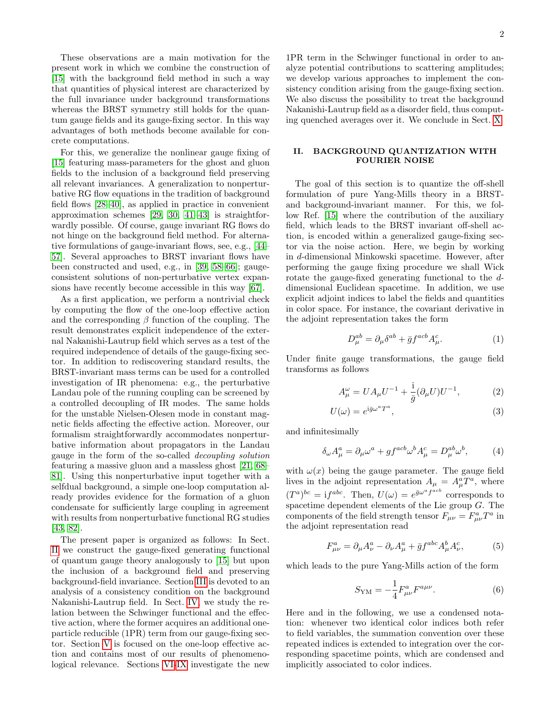These observations are a main motivation for the present work in which we combine the construction of [\[15\]](#page-19-8) with the background field method in such a way that quantities of physical interest are characterized by the full invariance under background transformations whereas the BRST symmetry still holds for the quantum gauge fields and its gauge-fixing sector. In this way advantages of both methods become available for concrete computations.

For this, we generalize the nonlinear gauge fixing of [\[15\]](#page-19-8) featuring mass-parameters for the ghost and gluon fields to the inclusion of a background field preserving all relevant invariances. A generalization to nonperturbative RG flow equations in the tradition of background field flows [\[28–](#page-20-1)[40\]](#page-20-2), as applied in practice in convenient approximation schemes [\[29,](#page-20-3) [30,](#page-20-4) [41](#page-20-5)[–43\]](#page-20-6) is straightforwardly possible. Of course, gauge invariant RG flows do not hinge on the background field method. For alternative formulations of gauge-invariant flows, see, e.g., [\[44–](#page-20-7) [57\]](#page-21-0). Several approaches to BRST invariant flows have been constructed and used, e.g., in [\[39,](#page-20-8) [58](#page-21-1)[–66\]](#page-21-2); gaugeconsistent solutions of non-perturbative vertex expansions have recently become accessible in this way [\[67\]](#page-21-3).

As a first application, we perform a nontrivial check by computing the flow of the one-loop effective action and the corresponding  $\beta$  function of the coupling. The result demonstrates explicit independence of the external Nakanishi-Lautrup field which serves as a test of the required independence of details of the gauge-fixing sector. In addition to rediscovering standard results, the BRST-invariant mass terms can be used for a controlled investigation of IR phenomena: e.g., the perturbative Landau pole of the running coupling can be screened by a controlled decoupling of IR modes. The same holds for the unstable Nielsen-Olesen mode in constant magnetic fields affecting the effective action. Moreover, our formalism straightforwardly accommodates nonperturbative information about propagators in the Landau gauge in the form of the so-called decoupling solution featuring a massive gluon and a massless ghost [\[21,](#page-20-9) [68–](#page-21-4) [81\]](#page-22-0). Using this nonperturbative input together with a selfdual background, a simple one-loop computation already provides evidence for the formation of a gluon condensate for sufficiently large coupling in agreement with results from nonperturbative functional RG studies [\[43,](#page-20-6) [82\]](#page-22-1).

The present paper is organized as follows: In Sect. [II](#page-1-0) we construct the gauge-fixed generating functional of quantum gauge theory analogously to [\[15\]](#page-19-8) but upon the inclusion of a background field and preserving background-field invariance. Section [III](#page-4-0) is devoted to an analysis of a consistency condition on the background Nakanishi-Lautrup field. In Sect. [IV,](#page-4-1) we study the relation between the Schwinger functional and the effective action, where the former acquires an additional oneparticle reducible (1PR) term from our gauge-fixing sector. Section [V](#page-6-0) is focused on the one-loop effective action and contains most of our results of phenomenological relevance. Sections [VI-](#page-9-0)[IX](#page-15-0) investigate the new 1PR term in the Schwinger functional in order to analyze potential contributions to scattering amplitudes; we develop various approaches to implement the consistency condition arising from the gauge-fixing section. We also discuss the possibility to treat the background Nakanishi-Lautrup field as a disorder field, thus computing quenched averages over it. We conclude in Sect. [X.](#page-16-0)

# <span id="page-1-0"></span>II. BACKGROUND QUANTIZATION WITH FOURIER NOISE

The goal of this section is to quantize the off-shell formulation of pure Yang-Mills theory in a BRSTand background-invariant manner. For this, we follow Ref. [\[15\]](#page-19-8) where the contribution of the auxiliary field, which leads to the BRST invariant off-shell action, is encoded within a generalized gauge-fixing sector via the noise action. Here, we begin by working in d-dimensional Minkowski spacetime. However, after performing the gauge fixing procedure we shall Wick rotate the gauge-fixed generating functional to the ddimensional Euclidean spacetime. In addition, we use explicit adjoint indices to label the fields and quantities in color space. For instance, the covariant derivative in the adjoint representation takes the form

$$
D_{\mu}^{ab} = \partial_{\mu}\delta^{ab} + \bar{g}f^{acb}A_{\mu}^{c}.
$$
 (1)

Under finite gauge transformations, the gauge field transforms as follows

$$
A^{\omega}_{\mu} = U A_{\mu} U^{-1} + \frac{\mathrm{i}}{\bar{g}} (\partial_{\mu} U) U^{-1}, \tag{2}
$$

$$
U(\omega) = e^{i\bar{g}\omega^a T^a},\qquad(3)
$$

and infinitesimally

$$
\delta_{\omega}A_{\mu}^{a} = \partial_{\mu}\omega^{a} + gf^{acb}\omega^{b}A_{\mu}^{c} = D_{\mu}^{ab}\omega^{b},\tag{4}
$$

with  $\omega(x)$  being the gauge parameter. The gauge field lives in the adjoint representation  $A_{\mu} = A_{\mu}^{a}T^{a}$ , where  $(T^a)^{bc} = i f^{abc}$ . Then,  $U(\omega) = e^{\bar{g}\omega^a f^{acb}}$  corresponds to spacetime dependent elements of the Lie group  $G$ . The components of the field strength tensor  $F_{\mu\nu} = F^a_{\mu\nu} T^a$  in the adjoint representation read

$$
F_{\mu\nu}^a = \partial_\mu A_\nu^a - \partial_\nu A_\mu^a + \bar{g} f^{abc} A_\mu^b A_\nu^c,\tag{5}
$$

which leads to the pure Yang-Mills action of the form

$$
S_{\rm YM} = -\frac{1}{4} F^a_{\mu\nu} F^{a\mu\nu}.
$$
 (6)

Here and in the following, we use a condensed notation: whenever two identical color indices both refer to field variables, the summation convention over these repeated indices is extended to integration over the corresponding spacetime points, which are condensed and implicitly associated to color indices.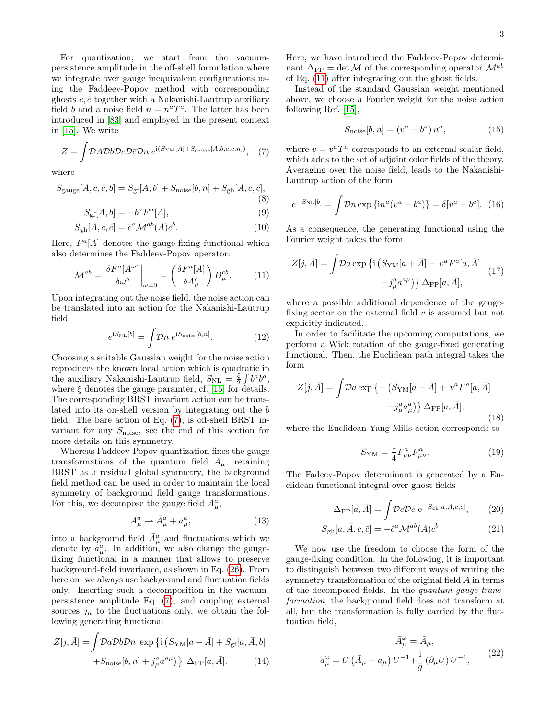For quantization, we start from the vacuumpersistence amplitude in the off-shell formulation where we integrate over gauge inequivalent configurations using the Faddeev-Popov method with corresponding ghosts  $c, \bar{c}$  together with a Nakanishi-Lautrup auxiliary field b and a noise field  $n = n^a T^a$ . The latter has been introduced in [\[83\]](#page-22-2) and employed in the present context in [\[15\]](#page-19-8). We write

$$
Z = \int \mathcal{D}A \mathcal{D}b \mathcal{D}c \mathcal{D}\bar{c} \mathcal{D}n \ e^{\mathrm{i}(S_{\mathrm{YM}}[A] + S_{\mathrm{gauge}}[A,b,c,\bar{c},n])}, \quad (7)
$$

where

$$
S_{\text{gauge}}[A, c, \bar{c}, b] = S_{\text{gf}}[A, b] + S_{\text{noise}}[b, n] + S_{\text{gh}}[A, c, \bar{c}],
$$
\n(8)

$$
S_{\rm gf}[A,b] = -b^a F^a[A],\tag{9}
$$

$$
S_{\text{gh}}[A, c, \bar{c}] = \bar{c}^a \mathcal{M}^{ab}(A)c^b.
$$
 (10)

Here,  $F^a[A]$  denotes the gauge-fixing functional which also determines the Faddeev-Popov operator:

$$
\mathcal{M}^{ab} = \left. \frac{\delta F^a [A^\omega]}{\delta \omega^b} \right|_{\omega = 0} = \left( \frac{\delta F^a [A]}{\delta A_\mu^c} \right) D_\mu^{cb}.\tag{11}
$$

Upon integrating out the noise field, the noise action can be translated into an action for the Nakanishi-Lautrup field

$$
e^{iS_{\rm NL}[b]} = \int \mathcal{D}n \; e^{iS_{\rm noise}[b,n]}.\tag{12}
$$

Choosing a suitable Gaussian weight for the noise action reproduces the known local action which is quadratic in the auxiliary Nakanishi-Lautrup field,  $S_{\text{NL}} = \frac{\xi}{2} \int b^a b^a$ , where  $\xi$  denotes the gauge paramter, cf. [\[15\]](#page-19-8) for details. The corresponding BRST invariant action can be translated into its on-shell version by integrating out the b field. The bare action of Eq. [\(7\)](#page-2-0), is off-shell BRST invariant for any  $S_{\text{noise}}$ , see the end of this section for more details on this symmetry.

Whereas Faddeev-Popov quantization fixes the gauge transformations of the quantum field  $A_{\mu}$ , retaining BRST as a residual global symmetry, the background field method can be used in order to maintain the local symmetry of background field gauge transformations. For this, we decompose the gauge field  $A^a_\mu$ ,

$$
A^a_\mu \to \bar{A}^a_\mu + a^a_\mu,\tag{13}
$$

into a background field  $\bar{A}^a_\mu$  and fluctuations which we denote by  $a^a_\mu$ . In addition, we also change the gaugefixing functional in a manner that allows to preserve background-field invariance, as shown in Eq. [\(26\)](#page-3-0). From here on, we always use background and fluctuation fields only. Inserting such a decomposition in the vacuumpersistence amplitude Eq. [\(7\)](#page-2-0), and coupling external sources  $j_{\mu}$  to the fluctuations only, we obtain the following generating functional

$$
Z[j, \bar{A}] = \int \mathcal{D}a \mathcal{D}b \mathcal{D}n \, \exp\left\{i\left(S_{\text{YM}}[a + \bar{A}] + S_{\text{gf}}[a, \bar{A}, b]\right) + S_{\text{noise}}[b, n] + j_{\mu}^{a} a^{a\mu}\right\} \Delta_{\text{FP}}[a, \bar{A}]. \tag{14}
$$

Here, we have introduced the Faddeev-Popov determinant  $\Delta_{\text{FP}} = \det \mathcal{M}$  of the corresponding operator  $\mathcal{M}^{ab}$ of Eq. [\(11\)](#page-2-1) after integrating out the ghost fields.

Instead of the standard Gaussian weight mentioned above, we choose a Fourier weight for the noise action following Ref. [\[15\]](#page-19-8),

$$
S_{\text{noise}}[b, n] = (v^a - b^a) n^a, \tag{15}
$$

<span id="page-2-0"></span>where  $v = v^a T^a$  corresponds to an external scalar field, which adds to the set of adjoint color fields of the theory. Averaging over the noise field, leads to the Nakanishi-Lautrup action of the form

$$
e^{-S_{\rm NL}[b]} = \int \mathcal{D}n \exp\left\{i n^a (v^a - b^a)\right\} = \delta[v^a - b^a]. \tag{16}
$$

As a consequence, the generating functional using the Fourier weight takes the form

<span id="page-2-1"></span>
$$
Z[j, \bar{A}] = \int \mathcal{D}a \exp \left\{ i \left( S_{\text{YM}}[a + \bar{A}] - v^a F^a[a, \bar{A}] \right) \right. \\ \left. + j^a_\mu a^{a\mu} \right) \right\} \Delta_{\text{FP}}[a, \bar{A}], \tag{17}
$$

where a possible additional dependence of the gaugefixing sector on the external field  $v$  is assumed but not explicitly indicated.

In order to facilitate the upcoming computations, we perform a Wick rotation of the gauge-fixed generating functional. Then, the Euclidean path integral takes the form

<span id="page-2-4"></span>
$$
Z[j, \bar{A}] = \int \mathcal{D}a \exp \left\{ - \left( S_{\text{YM}}[a + \bar{A}] + v^a F^a[a, \bar{A}] \right) - j_\mu^a a_\mu^a \right\} \Delta_{\text{FP}}[a, \bar{A}], \tag{18}
$$

where the Euclidean Yang-Mills action corresponds to

<span id="page-2-3"></span>
$$
S_{\rm YM} = \frac{1}{4} F^a_{\mu\nu} F^a_{\mu\nu}.
$$
 (19)

The Fadeev-Popov determinant is generated by a Euclidean functional integral over ghost fields

$$
\Delta_{\rm FP}[a,\bar{A}] = \int \mathcal{D}c \mathcal{D}\bar{c} \,\,\mathrm{e}^{-S_{\rm gh}[a,\bar{A},c,\bar{c}]},\tag{20}
$$

$$
S_{\rm gh}[a,\bar{A},c,\bar{c}] = -\bar{c}^a \mathcal{M}^{ab}(A)c^b.
$$
 (21)

<span id="page-2-2"></span>We now use the freedom to choose the form of the gauge-fixing condition. In the following, it is important to distinguish between two different ways of writing the symmetry transformation of the original field A in terms of the decomposed fields. In the quantum gauge transformation, the background field does not transform at all, but the transformation is fully carried by the fluctuation field,

$$
\bar{A}^{\omega}_{\mu} = \bar{A}_{\mu},
$$
  

$$
a^{\omega}_{\mu} = U \left( \bar{A}_{\mu} + a_{\mu} \right) U^{-1} + \frac{i}{\bar{g}} \left( \partial_{\mu} U \right) U^{-1},
$$
 (22)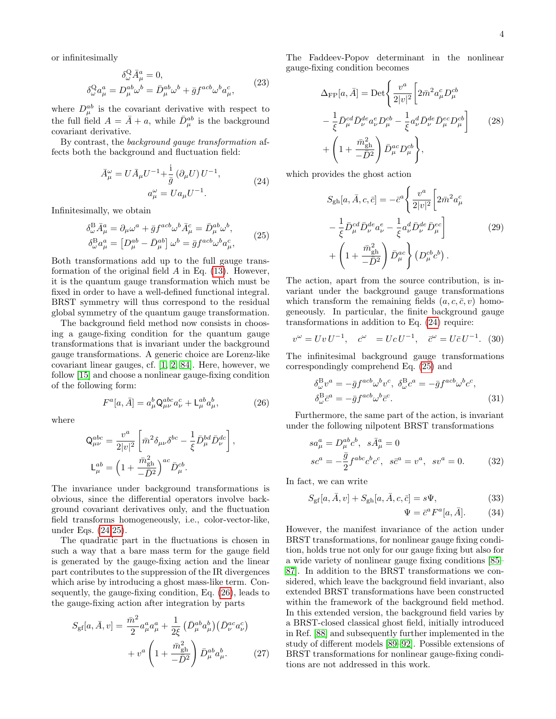or infinitesimally

$$
\delta^{\mathcal{Q}}_{\omega} \bar{A}^{a}_{\mu} = 0,
$$
\n
$$
\delta^{\mathcal{Q}}_{\omega} a^{a}_{\mu} = D^{ab}_{\mu} \omega^{b} = \bar{D}^{ab}_{\mu} \omega^{b} + \bar{g} f^{acb} \omega^{b} a^{c}_{\mu},
$$
\n(23)

where  $D_{\mu}^{ab}$  is the covariant derivative with respect to the full field  $A = \overline{A} + a$ , while  $\overline{D}_{\mu}^{ab}$  is the background covariant derivative.

By contrast, the background gauge transformation affects both the background and fluctuation field:

<span id="page-3-1"></span>
$$
\bar{A}^{\omega}_{\mu} = U \bar{A}_{\mu} U^{-1} + \frac{i}{\bar{g}} (\partial_{\mu} U) U^{-1},
$$
\n
$$
a^{\omega}_{\mu} = U a_{\mu} U^{-1}.
$$
\n(24)

Infinitesimally, we obtain

<span id="page-3-2"></span>
$$
\delta^{\text{B}}_{\omega}\bar{A}^{a}_{\mu} = \partial_{\mu}\omega^{a} + \bar{g}f^{acb}\omega^{b}\bar{A}^{c}_{\mu} = \bar{D}^{ab}_{\mu}\omega^{b},
$$
  
\n
$$
\delta^{\text{B}}_{\omega}a^{a}_{\mu} = \left[D^{ab}_{\mu} - \bar{D}^{ab}_{\mu}\right]\omega^{b} = \bar{g}f^{acb}\omega^{b}a^{c}_{\mu},
$$
\n(25)

Both transformations add up to the full gauge transformation of the original field  $A$  in Eq. [\(13\)](#page-2-2). However, it is the quantum gauge transformation which must be fixed in order to have a well-defined functional integral. BRST symmetry will thus correspond to the residual global symmetry of the quantum gauge transformation.

The background field method now consists in choosing a gauge-fixing condition for the quantum gauge transformations that is invariant under the background gauge transformations. A generic choice are Lorenz-like covariant linear gauges, cf. [\[1,](#page-19-0) [2,](#page-19-1) [84\]](#page-22-3). Here, however, we follow [\[15\]](#page-19-8) and choose a nonlinear gauge-fixing condition of the following form:

$$
F^{a}[a,\bar{A}] = a_{\mu}^{b} \mathsf{Q}^{abc}_{\mu\nu} a_{\nu}^{c} + \mathsf{L}_{\mu}^{ab} a_{\mu}^{b}, \tag{26}
$$

where

$$
\begin{split} \mathsf{Q}^{abc}_{\mu\nu} &= \frac{v^a}{2|v|^2} \left[ \bar{m}^2 \delta_{\mu\nu} \delta^{bc} - \frac{1}{\xi} \bar{D}^{bd}_\mu \bar{D}^{dc}_\nu \right], \\ \mathsf{L}^{ab}_\mu &= \Big( 1 + \frac{\bar{m}^2_\text{sh}}{-\bar{D}^2} \Big)^{ac} \bar{D}^{cb}_\mu. \end{split}
$$

The invariance under background transformations is obvious, since the differential operators involve background covariant derivatives only, and the fluctuation field transforms homogeneously, i.e., color-vector-like, under Eqs. [\(24,](#page-3-1)[25\)](#page-3-2).

The quadratic part in the fluctuations is chosen in such a way that a bare mass term for the gauge field is generated by the gauge-fixing action and the linear part contributes to the suppression of the IR divergences which arise by introducing a ghost mass-like term. Consequently, the gauge-fixing condition, Eq. [\(26\)](#page-3-0), leads to the gauge-fixing action after integration by parts

$$
S_{\rm gf}[a,\bar{A},v] = \frac{\bar{m}^2}{2} a^a_\mu a^a_\mu + \frac{1}{2\xi} \left( \bar{D}^{ab}_\mu a^b_\mu \right) \left( \bar{D}^{ac}_\nu a^c_\nu \right) + v^a \left( 1 + \frac{\bar{m}^2_{\rm gh}}{-\bar{D}^2} \right) \bar{D}^{ab}_\mu a^b_\mu.
$$
 (27)

The Faddeev-Popov determinant in the nonlinear gauge-fixing condition becomes

$$
\Delta_{\rm FP}[a,\bar{A}] = \text{Det}\left\{\frac{v^a}{2|v|^2} \left[2\bar{m}^2 a^c_\mu D^{cb}_\mu\right.\right.\left. - \frac{1}{\xi} \bar{D}^{cd}_\mu \bar{D}^{de}_\nu a^e_\nu D^{cb}_\mu - \frac{1}{\xi} a^d_\nu \bar{D}^{de}_\nu \bar{D}^{ec}_\mu D^{cb}_\mu\right.\left. + \left(1 + \frac{\bar{m}^2_{\rm gh}}{-\bar{D}^2}\right) \bar{D}^{ac}_\mu D^{cb}_\mu\right\},
$$
\n(28)

which provides the ghost action

$$
S_{\text{gh}}[a,\bar{A},c,\bar{c}] = -\bar{c}^{a} \left\{ \frac{v^{a}}{2|v|^{2}} \left[ 2\bar{m}^{2} a_{\mu}^{c} - \frac{1}{\xi} \bar{D}_{\mu}^{cd} \bar{D}_{\nu}^{de} a_{\nu}^{e} - \frac{1}{\xi} a_{\nu}^{d} \bar{D}_{\nu}^{de} \bar{D}_{\mu}^{ec} \right] + \left( 1 + \frac{\bar{m}_{\text{gh}}^{2}}{-\bar{D}^{2}} \right) \bar{D}_{\mu}^{ac} \right\} (D_{\mu}^{cb} c^{b}).
$$
\n(29)

The action, apart from the source contribution, is invariant under the background gauge transformations which transform the remaining fields  $(a, c, \bar{c}, v)$  homogeneously. In particular, the finite background gauge transformations in addition to Eq. [\(24\)](#page-3-1) require:

$$
v^{\omega} = Uv U^{-1}
$$
,  $c^{\omega} = Uc U^{-1}$ ,  $\bar{c}^{\omega} = U\bar{c} U^{-1}$ . (30)

The infinitesimal background gauge transformations correspondingly comprehend Eq. [\(25\)](#page-3-2) and

$$
\delta^{\mathcal{B}}_{\omega}v^{a} = -\bar{g}f^{acb}\omega^{b}v^{c}, \ \delta^{\mathcal{B}}_{\omega}c^{a} = -\bar{g}f^{acb}\omega^{b}c^{c},
$$

$$
\delta^{\mathcal{B}}_{\omega}\bar{c}^{a} = -\bar{g}f^{acb}\omega^{b}\bar{c}^{c}.
$$
 (31)

<span id="page-3-0"></span>Furthermore, the same part of the action, is invariant under the following nilpotent BRST transformations

$$
sa_{\mu}^{a} = D_{\mu}^{ab}c^{b}, \quad s\bar{A}_{\mu}^{a} = 0
$$
  
\n
$$
sc^{a} = -\frac{\bar{g}}{2}f^{abc}c^{b}c^{c}, \quad s\bar{c}^{a} = v^{a}, \quad sv^{a} = 0.
$$
 (32)

In fact, we can write

$$
S_{\rm gf}[a,\bar{A},v] + S_{\rm gh}[a,\bar{A},c,\bar{c}] = s\Psi,
$$
\n(33)

$$
\Psi = \bar{c}^a F^a[a, \bar{A}]. \tag{34}
$$

<span id="page-3-3"></span>However, the manifest invariance of the action under BRST transformations, for nonlinear gauge fixing condition, holds true not only for our gauge fixing but also for a wide variety of nonlinear gauge fixing conditions [\[85–](#page-22-4) [87\]](#page-22-5). In addition to the BRST transformations we considered, which leave the background field invariant, also extended BRST transformations have been constructed within the framework of the background field method. In this extended version, the background field varies by a BRST-closed classical ghost field, initially introduced in Ref. [\[88\]](#page-22-6) and subsequently further implemented in the study of different models [\[89](#page-22-7)[–92\]](#page-22-8). Possible extensions of BRST transformations for nonlinear gauge-fixing conditions are not addressed in this work.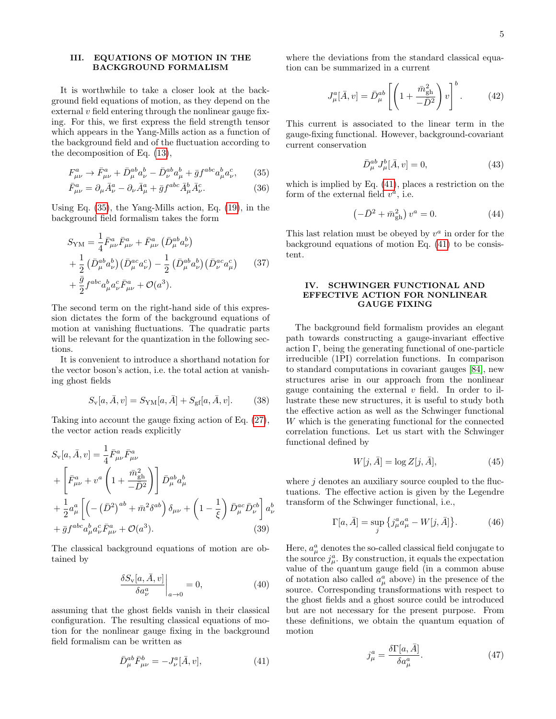## <span id="page-4-0"></span>III. EQUATIONS OF MOTION IN THE BACKGROUND FORMALISM

It is worthwhile to take a closer look at the background field equations of motion, as they depend on the external  $v$  field entering through the nonlinear gauge fixing. For this, we first express the field strength tensor which appears in the Yang-Mills action as a function of the background field and of the fluctuation according to the decomposition of Eq. [\(13\)](#page-2-2),

$$
F^{a}_{\mu\nu} \rightarrow \bar{F}^{a}_{\mu\nu} + \bar{D}^{ab}_{\mu} a^{b}_{\nu} - \bar{D}^{ab}_{\nu} a^{b}_{\mu} + \bar{g} f^{abc} a^{b}_{\mu} a^{c}_{\nu}, \qquad (35)
$$

$$
\bar{F}^a_{\mu\nu} = \partial_\mu \bar{A}^a_\nu - \partial_\nu \bar{A}^a_\mu + \bar{g} f^{abc} \bar{A}^b_\mu \bar{A}^c_\nu. \tag{36}
$$

Using Eq. [\(35\)](#page-4-2), the Yang-Mills action, Eq. [\(19\)](#page-2-3), in the background field formalism takes the form

$$
S_{\rm YM} = \frac{1}{4} \bar{F}^a_{\mu\nu} \bar{F}^a_{\mu\nu} + \bar{F}^a_{\mu\nu} \left( \bar{D}^{ab}_{\mu} a^b_{\nu} \right) + \frac{1}{2} \left( \bar{D}^{ab}_{\mu} a^b_{\nu} \right) \left( \bar{D}^{ac}_{\mu} a^c_{\nu} \right) - \frac{1}{2} \left( \bar{D}^{ab}_{\mu} a^b_{\nu} \right) \left( \bar{D}^{ac}_{\nu} a^c_{\mu} \right) + \frac{\bar{g}}{2} f^{abc} a^b_{\mu} a^c_{\nu} \bar{F}^a_{\mu\nu} + \mathcal{O}(a^3).
$$
 (37)

The second term on the right-hand side of this expression dictates the form of the background equations of motion at vanishing fluctuations. The quadratic parts will be relevant for the quantization in the following sections.

It is convenient to introduce a shorthand notation for the vector boson's action, i.e. the total action at vanishing ghost fields

$$
S_{\rm v}[a,\bar{A},v] = S_{\rm YM}[a,\bar{A}] + S_{\rm gf}[a,\bar{A},v]. \tag{38}
$$

Taking into account the gauge fixing action of Eq. [\(27\)](#page-3-3), the vector action reads explicitly

$$
S_{\rm v}[a, \bar{A}, v] = \frac{1}{4} \bar{F}^{a}_{\mu\nu} \bar{F}^{a}_{\mu\nu} + \left[ \bar{F}^{a}_{\mu\nu} + v^{a} \left( 1 + \frac{\bar{m}^{2}_{\rm gh}}{-\bar{D}^{2}} \right) \right] \bar{D}^{ab}_{\mu} a^{b}_{\mu} + \frac{1}{2} a^{a}_{\mu} \left[ \left( -(\bar{D}^{2})^{ab} + \bar{m}^{2} \delta^{ab} \right) \delta_{\mu\nu} + \left( 1 - \frac{1}{\xi} \right) \bar{D}^{ac}_{\mu} \bar{D}^{cb}_{\nu} \right] a^{b}_{\nu} + \bar{g} f^{abc} a^{b}_{\mu} a^{c}_{\nu} \bar{F}^{a}_{\mu\nu} + \mathcal{O}(a^{3}).
$$
\n(39)

The classical background equations of motion are obtained by

$$
\left. \frac{\delta S_{\mathbf{v}}[a,\bar{A},v]}{\delta a_{\nu}^{a}} \right|_{a \to 0} = 0, \tag{40}
$$

assuming that the ghost fields vanish in their classical configuration. The resulting classical equations of motion for the nonlinear gauge fixing in the background field formalism can be written as

$$
\bar{D}^{ab}_{\mu}\bar{F}^{b}_{\mu\nu} = -J^a_{\nu}[\bar{A}, v],\tag{41}
$$

where the deviations from the standard classical equation can be summarized in a current

<span id="page-4-8"></span>
$$
J_{\mu}^{a}[\bar{A}, v] = \bar{D}_{\mu}^{ab} \left[ \left( 1 + \frac{\bar{m}_{\text{gh}}^{2}}{-\bar{D}^{2}} \right) v \right]^{b}.
$$
 (42)

This current is associated to the linear term in the gauge-fixing functional. However, background-covariant current conservation

<span id="page-4-7"></span>
$$
\bar{D}_{\mu}^{ab} J_{\mu}^{b} [\bar{A}, v] = 0, \qquad (43)
$$

<span id="page-4-2"></span>which is implied by Eq. [\(41\)](#page-4-3), places a restriction on the form of the external field  $v^a$ , i.e.

$$
\left(-\bar{D}^2 + \bar{m}_{\text{gh}}^2\right)v^a = 0.
$$
 (44)

This last relation must be obeyed by  $v^a$  in order for the background equations of motion Eq. [\(41\)](#page-4-3) to be consistent.

# <span id="page-4-1"></span>IV. SCHWINGER FUNCTIONAL AND EFFECTIVE ACTION FOR NONLINEAR GAUGE FIXING

The background field formalism provides an elegant path towards constructing a gauge-invariant effective action Γ, being the generating functional of one-particle irreducible (1PI) correlation functions. In comparison to standard computations in covariant gauges [\[84\]](#page-22-3), new structures arise in our approach from the nonlinear gauge containing the external  $v$  field. In order to illustrate these new structures, it is useful to study both the effective action as well as the Schwinger functional W which is the generating functional for the connected correlation functions. Let us start with the Schwinger functional defined by

<span id="page-4-5"></span>
$$
W[j, \bar{A}] = \log Z[j, \bar{A}], \tag{45}
$$

where  $i$  denotes an auxiliary source coupled to the fluctuations. The effective action is given by the Legendre transform of the Schwinger functional, i.e.,

$$
\Gamma[a, \bar{A}] = \sup_{j} \left\{ j_{\mu}^{a} a_{\mu}^{a} - W[j, \bar{A}] \right\}.
$$
 (46)

<span id="page-4-4"></span>Here,  $a_{\mu}^{a}$  denotes the so-called classical field conjugate to the source  $j^a_\mu$ . By construction, it equals the expectation value of the quantum gauge field (in a common abuse of notation also called  $a^a_\mu$  above) in the presence of the source. Corresponding transformations with respect to the ghost fields and a ghost source could be introduced but are not necessary for the present purpose. From these definitions, we obtain the quantum equation of motion

<span id="page-4-6"></span><span id="page-4-3"></span>
$$
j_{\mu}^{a} = \frac{\delta \Gamma[a, \bar{A}]}{\delta a_{\mu}^{a}}.
$$
\n(47)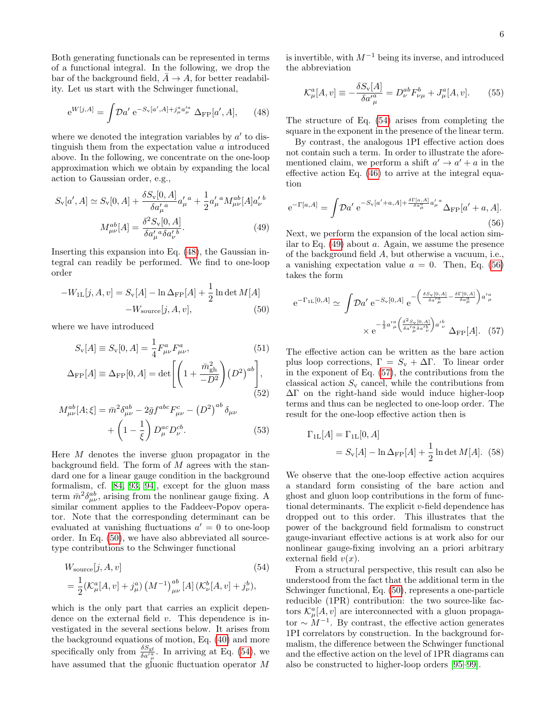Both generating functionals can be represented in terms of a functional integral. In the following, we drop the bar of the background field,  $A \rightarrow A$ , for better readability. Let us start with the Schwinger functional,

$$
e^{W[j,A]} = \int \mathcal{D}a' \ e^{-S_v[a',A] + j^a_\mu a'^a_\mu} \Delta_{\rm FP}[a',A], \qquad (48)
$$

where we denoted the integration variables by  $a'$  to distinguish them from the expectation value a introduced above. In the following, we concentrate on the one-loop approximation which we obtain by expanding the local action to Gaussian order, e.g.,

<span id="page-5-3"></span>
$$
S_{\rm v}[a', A] \simeq S_{\rm v}[0, A] + \frac{\delta S_{\rm v}[0, A]}{\delta a'_{\mu}{}^{a}} a'_{\mu}{}^{a} + \frac{1}{2} a'_{\mu}{}^{a} M^{ab}_{\mu\nu}[A] a'_{\nu}{}^{b}
$$

$$
M^{ab}_{\mu\nu}[A] = \frac{\delta^{2} S_{\rm v}[0, A]}{\delta a'_{\mu}{}^{a} \delta a'_{\nu}{}^{b}}.
$$
(49)

Inserting this expansion into Eq. [\(48\)](#page-5-0), the Gaussian integral can readily be performed. We find to one-loop order

<span id="page-5-1"></span>
$$
-W_{1L}[j, A, v] = S_{\rm v}[A] - \ln \Delta_{\rm FP}[A] + \frac{1}{2} \ln \det M[A]
$$

$$
-W_{\rm source}[j, A, v],
$$
(50)

where we have introduced

$$
S_{\rm v}[A] \equiv S_{\rm v}[0, A] = \frac{1}{4} F^{a}_{\mu\nu} F^{a}_{\mu\nu}, \tag{51}
$$

$$
\Delta_{\rm FP}[A] \equiv \Delta_{\rm FP}[0, A] = \det \left[ \left( 1 + \frac{\bar{m}_{\rm gh}^2}{-D^2} \right) \left( D^2 \right)^{ab} \right],\tag{52}
$$

$$
M_{\mu\nu}^{ab}[A;\xi] = \bar{m}^2 \delta_{\mu\nu}^{ab} - 2\bar{g}f^{abc}F_{\mu\nu}^c - (D^2)^{ab} \delta_{\mu\nu} + \left(1 - \frac{1}{\xi}\right)D_{\mu}^{ac}D_{\nu}^{cb}.
$$
 (53)

Here M denotes the inverse gluon propagator in the background field. The form of  $M$  agrees with the standard one for a linear gauge condition in the background formalism, cf. [\[84,](#page-22-3) [93,](#page-22-9) [94\]](#page-22-10), except for the gluon mass term  $\bar{m}^2 \delta_{\mu\nu}^{ab}$ , arising from the nonlinear gauge fixing. A similar comment applies to the Faddeev-Popov operator. Note that the corresponding determinant can be evaluated at vanishing fluctuations  $a' = 0$  to one-loop order. In Eq. [\(50\)](#page-5-1), we have also abbreviated all sourcetype contributions to the Schwinger functional

$$
W_{\text{source}}[j, A, v] \tag{54}
$$
  
=  $\frac{1}{2} (K^a_\mu[A, v] + j^a_\mu) (M^{-1})^{ab}_{\mu\nu} [A] (K^b_\nu[A, v] + j^b_\nu),$ 

which is the only part that carries an explicit dependence on the external field  $v$ . This dependence is investigated in the several sections below. It arises from the background equations of motion, Eq. [\(40\)](#page-4-4) and more specifically only from  $\frac{\delta S_{\rm gf}}{\delta a'^a_{\mu}}$ . In arriving at Eq. [\(54\)](#page-5-2), we have assumed that the gluonic fluctuation operator  $M$ 

is invertible, with  $M^{-1}$  being its inverse, and introduced the abbreviation

<span id="page-5-8"></span>
$$
\mathcal{K}^a_\mu[A, v] \equiv -\frac{\delta S_\nu[A]}{\delta a'^a_\mu} = D_\nu^{ab} F^b_{\nu\mu} + J_\mu^a[A, v]. \tag{55}
$$

<span id="page-5-0"></span>The structure of Eq. [\(54\)](#page-5-2) arises from completing the square in the exponent in the presence of the linear term.

By contrast, the analogous 1PI effective action does not contain such a term. In order to illustrate the aforementioned claim, we perform a shift  $a' \rightarrow a' + a$  in the effective action Eq. [\(46\)](#page-4-5) to arrive at the integral equation

<span id="page-5-4"></span>
$$
e^{-\Gamma[a,A]} = \int \mathcal{D}a' e^{-S_v[a'+a,A] + \frac{\delta\Gamma[a,A]}{\delta a_\mu^a} a'_\mu{}^a} \Delta_{\rm FP}[a'+a,A].
$$
\n(56)

Next, we perform the expansion of the local action similar to Eq.  $(49)$  about a. Again, we assume the presence of the background field A, but otherwise a vacuum, i.e., a vanishing expectation value  $a = 0$ . Then, Eq. [\(56\)](#page-5-4) takes the form

<span id="page-5-5"></span>
$$
e^{-\Gamma_{1L}[0,A]} \simeq \int \mathcal{D}a' e^{-S_v[0,A]} e^{-\left(\frac{\delta S_v[0,A]}{\delta a'^a_{\mu}} - \frac{\delta \Gamma[0,A]}{\delta a'^a_{\mu}}\right) a'^a_{\mu}}
$$

$$
\times e^{-\frac{1}{2} a'^a_{\mu} \left(\frac{\delta^2 S_v[0,A]}{\delta a'^a_{\mu} \delta a'^b_{\nu}}\right) a'^b_{\nu}} \Delta_{FP}[A].
$$
 (57)

The effective action can be written as the bare action plus loop corrections,  $\Gamma = S_{v} + \Delta \Gamma$ . To linear order in the exponent of Eq. [\(57\)](#page-5-5), the contributions from the classical action  $S_{v}$  cancel, while the contributions from ∆Γ on the right-hand side would induce higher-loop terms and thus can be neglected to one-loop order. The result for the one-loop effective action then is

<span id="page-5-7"></span><span id="page-5-6"></span>
$$
\Gamma_{1L}[A] = \Gamma_{1L}[0, A]
$$
  
=  $S_v[A] - \ln \Delta_{FP}[A] + \frac{1}{2} \ln \det M[A]$ . (58)

We observe that the one-loop effective action acquires a standard form consisting of the bare action and ghost and gluon loop contributions in the form of functional determinants. The explicit  $v$ -field dependence has dropped out to this order. This illustrates that the power of the background field formalism to construct gauge-invariant effective actions is at work also for our nonlinear gauge-fixing involving an a priori arbitrary external field  $v(x)$ .

<span id="page-5-2"></span>From a structural perspective, this result can also be understood from the fact that the additional term in the Schwinger functional, Eq. [\(50\)](#page-5-1), represents a one-particle reducible (1PR) contribution: the two source-like factors  $\mathcal{K}_{\mu}^{a}[A,v]$  are interconnected with a gluon propagator  $\sim M^{-1}$ . By contrast, the effective action generates 1PI correlators by construction. In the background formalism, the difference between the Schwinger functional and the effective action on the level of 1PR diagrams can also be constructed to higher-loop orders [\[95–](#page-22-11)[99\]](#page-22-12).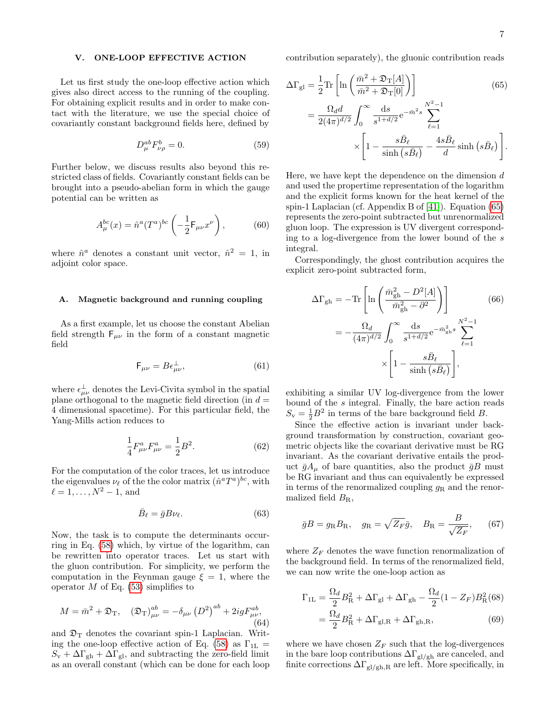#### <span id="page-6-0"></span>V. ONE-LOOP EFFECTIVE ACTION

Let us first study the one-loop effective action which gives also direct access to the running of the coupling. For obtaining explicit results and in order to make contact with the literature, we use the special choice of covariantly constant background fields here, defined by

<span id="page-6-2"></span>
$$
D_{\mu}^{ab}F_{\nu\rho}^{b} = 0. \tag{59}
$$

Further below, we discuss results also beyond this restricted class of fields. Covariantly constant fields can be brought into a pseudo-abelian form in which the gauge potential can be written as

$$
A_{\mu}^{bc}(x) = \hat{n}^{a}(T^{a})^{bc} \left(-\frac{1}{2} \mathsf{F}_{\mu\nu} x^{\nu}\right),\tag{60}
$$

where  $\hat{n}^a$  denotes a constant unit vector,  $\hat{n}^2 = 1$ , in adjoint color space.

#### A. Magnetic background and running coupling

As a first example, let us choose the constant Abelian field strength  $F_{\mu\nu}$  in the form of a constant magnetic field

$$
\mathsf{F}_{\mu\nu} = B \epsilon_{\mu\nu}^{\perp},\tag{61}
$$

where  $\epsilon_{\mu\nu}^{\perp}$  denotes the Levi-Civita symbol in the spatial plane orthogonal to the magnetic field direction (in  $d =$ 4 dimensional spacetime). For this particular field, the Yang-Mills action reduces to

$$
\frac{1}{4}F^{a}_{\mu\nu}F^{a}_{\mu\nu} = \frac{1}{2}B^{2}.
$$
\n(62)

For the computation of the color traces, let us introduce the eigenvalues  $\nu_{\ell}$  of the the color matrix  $(\hat{n}^a T^a)^{bc}$ , with  $\ell = 1, \ldots, N^2 - 1$ , and

$$
\bar{B}_{\ell} = \bar{g} B \nu_{\ell}.\tag{63}
$$

Now, the task is to compute the determinants occurring in Eq. [\(58\)](#page-5-6) which, by virtue of the logarithm, can be rewritten into operator traces. Let us start with the gluon contribution. For simplicity, we perform the computation in the Feynman gauge  $\xi = 1$ , where the operator  $M$  of Eq. [\(53\)](#page-5-7) simplifies to

$$
M = \bar{m}^2 + \mathfrak{D}_{\mathrm{T}}, \quad (\mathfrak{D}_{\mathrm{T}})_{\mu\nu}^{ab} = -\delta_{\mu\nu} (D^2)^{ab} + 2igF_{\mu\nu}^{ab},
$$
\n(64)

and  $\mathfrak{D}_T$  denotes the covariant spin-1 Laplacian. Writ-ing the one-loop effective action of Eq. [\(58\)](#page-5-6) as  $\Gamma_{1L}$  =  $S_{v} + \Delta\Gamma_{gh} + \Delta\Gamma_{gl}$ , and subtracting the zero-field limit as an overall constant (which can be done for each loop contribution separately), the gluonic contribution reads

<span id="page-6-1"></span>
$$
\Delta\Gamma_{\rm gl} = \frac{1}{2} \text{Tr} \left[ \ln \left( \frac{\bar{m}^2 + \mathfrak{D}_{\rm T}[A]}{\bar{m}^2 + \mathfrak{D}_{\rm T}[0]} \right) \right]
$$
(65)  

$$
= \frac{\Omega_d d}{2(4\pi)^{d/2}} \int_0^\infty \frac{ds}{s^{1+d/2}} e^{-\bar{m}^2 s} \sum_{\ell=1}^{N^2 - 1} \times \left[ 1 - \frac{s\bar{B}_\ell}{\sinh \left( s\bar{B}_\ell \right)} - \frac{4s\bar{B}_\ell}{d} \sinh \left( s\bar{B}_\ell \right) \right].
$$

Here, we have kept the dependence on the dimension  $d$ and used the propertime representation of the logarithm and the explicit forms known for the heat kernel of the spin-1 Laplacian (cf. Appendix B of [\[41\]](#page-20-5)). Equation [\(65\)](#page-6-1) represents the zero-point subtracted but unrenormalized gluon loop. The expression is UV divergent corresponding to a log-divergence from the lower bound of the s integral.

Correspondingly, the ghost contribution acquires the explicit zero-point subtracted form,

$$
\Delta\Gamma_{\rm gh} = -\text{Tr}\left[\ln\left(\frac{\bar{m}_{\rm gh}^2 - D^2[A]}{\bar{m}_{\rm gh}^2 - \partial^2}\right)\right]
$$
(66)  

$$
= -\frac{\Omega_d}{(4\pi)^{d/2}} \int_0^\infty \frac{\text{d}s}{s^{1+d/2}} e^{-\bar{m}_{\rm gh}^2 s} \sum_{\ell=1}^{N^2-1}
$$

$$
\times \left[1 - \frac{s\bar{B}_\ell}{\sinh\left(s\bar{B}_\ell\right)}\right],
$$

exhibiting a similar UV log-divergence from the lower bound of the s integral. Finally, the bare action reads  $S_{\rm v} = \frac{1}{2}B^2$  in terms of the bare background field B.

Since the effective action is invariant under background transformation by construction, covariant geometric objects like the covariant derivative must be RG invariant. As the covariant derivative entails the product  $\bar{g}A_{\mu}$  of bare quantities, also the product  $\bar{g}B$  must be RG invariant and thus can equivalently be expressed in terms of the renormalized coupling  $g_R$  and the renormalized field  $B_{\rm R}$ ,

$$
\bar{g}B = g_{\rm R}B_{\rm R}, \quad g_{\rm R} = \sqrt{Z_F}\bar{g}, \quad B_{\rm R} = \frac{B}{\sqrt{Z_F}}, \quad (67)
$$

where  $Z_F$  denotes the wave function renormalization of the background field. In terms of the renormalized field, we can now write the one-loop action as

$$
\Gamma_{1L} = \frac{\Omega_d}{2} B_R^2 + \Delta \Gamma_{gl} + \Delta \Gamma_{gh} - \frac{\Omega_d}{2} (1 - Z_F) B_R^2 (68)
$$

$$
= \frac{\Omega_d}{2} B_R^2 + \Delta \Gamma_{gl,R} + \Delta \Gamma_{gh,R}, \tag{69}
$$

where we have chosen  $Z_F$  such that the log-divergences in the bare loop contributions  $\Delta\Gamma_{\text{gl}/\text{gh}}$  are canceled, and finite corrections  $\Delta\Gamma_{\text{gl}/\text{gh},\text{R}}$  are left. More specifically, in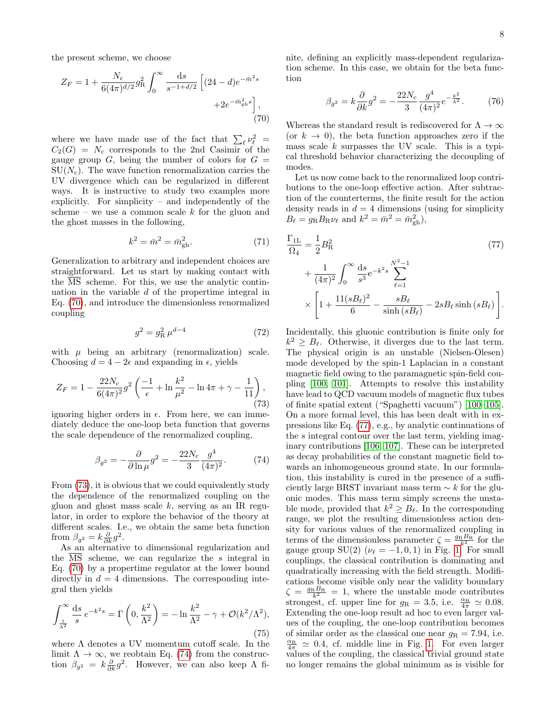the present scheme, we choose

$$
Z_F = 1 + \frac{N_c}{6(4\pi)^{d/2}} g_R^2 \int_0^\infty \frac{ds}{s^{-1+d/2}} \left[ (24 - d)e^{-\bar{m}^2 s} + 2e^{-\bar{m}_{\rm gh}^2 s} \right],\tag{70}
$$

where we have made use of the fact that  $\sum_{\ell} \nu_{\ell}^2$  =  $C_2(G) = N_c$  corresponds to the 2nd Casimir of the gauge group  $G$ , being the number of colors for  $G =$  $SU(N_c)$ . The wave function renormalization carries the UV divergence which can be regularized in different ways. It is instructive to study two examples more explicitly. For simplicity – and independently of the scheme – we use a common scale  $k$  for the gluon and the ghost masses in the following,

$$
k^2 = \bar{m}^2 = \bar{m}_{\text{gh}}^2.
$$
 (71)

Generalization to arbitrary and independent choices are straightforward. Let us start by making contact with the MS scheme. For this, we use the analytic continuation in the variable d of the propertime integral in Eq. [\(70\)](#page-7-0), and introduce the dimensionless renormalized coupling

$$
g^2 = g_{\rm R}^2 \,\mu^{d-4} \tag{72}
$$

with  $\mu$  being an arbitrary (renormalization) scale. Choosing  $d = 4 - 2\epsilon$  and expanding in  $\epsilon$ , yields

<span id="page-7-1"></span>
$$
Z_F = 1 - \frac{22N_c}{6(4\pi)^2}g^2 \left(\frac{-1}{\epsilon} + \ln\frac{k^2}{\mu^2} - \ln 4\pi + \gamma - \frac{1}{11}\right),\tag{73}
$$

ignoring higher orders in  $\epsilon$ . From here, we can immediately deduce the one-loop beta function that governs the scale dependence of the renormalized coupling,

<span id="page-7-2"></span>
$$
\beta_{g^2} = -\frac{\partial}{\partial \ln \mu} g^2 = -\frac{22N_c}{3} \frac{g^4}{(4\pi)^2}.
$$
 (74)

From [\(73\)](#page-7-1), it is obvious that we could equivalently study the dependence of the renormalized coupling on the gluon and ghost mass scale k, serving as an IR regulator, in order to explore the behavior of the theory at different scales. I.e., we obtain the same beta function from  $\beta_{g^2} = k \frac{\partial}{\partial k} g^2$ .

As an alternative to dimensional regularization and the  $\overline{\text{MS}}$  scheme, we can regularize the s integral in Eq. [\(70\)](#page-7-0) by a propertime regulator at the lower bound directly in  $d = 4$  dimensions. The corresponding integral then yields

$$
\int_{\frac{1}{\Lambda^2}}^{\infty} \frac{ds}{s} e^{-k^2 s} = \Gamma\left(0, \frac{k^2}{\Lambda^2}\right) = -\ln \frac{k^2}{\Lambda^2} - \gamma + \mathcal{O}(k^2/\Lambda^2),\tag{75}
$$

where  $\Lambda$  denotes a UV momentum cutoff scale. In the limit  $\Lambda \to \infty$ , we reobtain Eq. [\(74\)](#page-7-2) from the construction  $\beta_{g^2} = k \frac{\partial}{\partial k} g^2$ . However, we can also keep  $\Lambda$  finite, defining an explicitly mass-dependent regularization scheme. In this case, we obtain for the beta function

<span id="page-7-4"></span>
$$
\beta_{g^2} = k \frac{\partial}{\partial k} g^2 = -\frac{22N_c}{3} \frac{g^4}{(4\pi)^2} e^{-\frac{k^2}{\Lambda^2}}.
$$
 (76)

<span id="page-7-0"></span>Whereas the standard result is rediscovered for  $\Lambda \to \infty$ (or  $k \to 0$ ), the beta function approaches zero if the mass scale  $k$  surpasses the UV scale. This is a typical threshold behavior characterizing the decoupling of modes.

Let us now come back to the renormalized loop contributions to the one-loop effective action. After subtraction of the counterterms, the finite result for the action density reads in  $d = 4$  dimensions (using for simplicity  $B_{\ell} = g_{\rm R} B_{\rm R} \nu_{\ell}$  and  $k^2 = \bar{m}^2 = \bar{m}_{\rm gh}^2$ ),

<span id="page-7-3"></span>
$$
\frac{\Gamma_{1L}}{\Omega_4} = \frac{1}{2} B_R^2
$$
\n
$$
+ \frac{1}{(4\pi)^2} \int_0^\infty \frac{ds}{s^3} e^{-k^2 s} \sum_{\ell=1}^{N^2 - 1}
$$
\n
$$
\times \left[ 1 + \frac{11(sB_\ell)^2}{6} - \frac{sB_\ell}{\sinh(sB_\ell)} - 2sB_\ell \sinh(sB_\ell) \right].
$$
\n(77)

Incidentally, this gluonic contribution is finite only for  $k^2 \geq B_\ell$ . Otherwise, it diverges due to the last term. The physical origin is an unstable (Nielsen-Olesen) mode developed by the spin-1 Laplacian in a constant magnetic field owing to the paramagnetic spin-field coupling [\[100,](#page-22-13) [101\]](#page-22-14). Attempts to resolve this instability have lead to QCD vacuum models of magnetic flux tubes of finite spatial extent ("Spaghetti vacuum") [\[100–](#page-22-13)[105\]](#page-22-15). On a more formal level, this has been dealt with in expressions like Eq. [\(77\)](#page-7-3), e.g., by analytic continuations of the s integral contour over the last term, yielding imaginary contributions [\[106,](#page-22-16) [107\]](#page-22-17). These can be interpreted as decay probabilities of the constant magnetic field towards an inhomogeneous ground state. In our formulation, this instability is cured in the presence of a sufficiently large BRST invariant mass term  $\sim k$  for the gluonic modes. This mass term simply screens the unstable mode, provided that  $k^2 \geq B_\ell$ . In the corresponding range, we plot the resulting dimensionless action density for various values of the renormalized coupling in terms of the dimensionless parameter  $\zeta = \frac{g_{\rm R} B_{\rm R}}{k^2}$  for the gauge group SU(2) ( $\nu_{\ell} = -1, 0, 1$ ) in Fig. [1.](#page-8-0) For small couplings, the classical contribution is dominating and quadratically increasing with the field strength. Modifications become visible only near the validity boundary  $\zeta = \frac{g_{\rm R} B_{\rm R}}{k^2} = 1$ , where the unstable mode contributes strongest, cf. upper line for  $g_R = 3.5$ , i.e.  $\frac{\alpha_R}{4\pi} \simeq 0.08$ . Extending the one-loop result ad hoc to even larger values of the coupling, the one-loop contribution becomes of similar order as the classical one near  $g_R = 7.94$ , i.e.  $\frac{\alpha_R}{4\pi} \simeq 0.4$ , cf. middle line in Fig. [1.](#page-8-0) For even larger values of the coupling, the classical trivial ground state no longer remains the global minimum as is visible for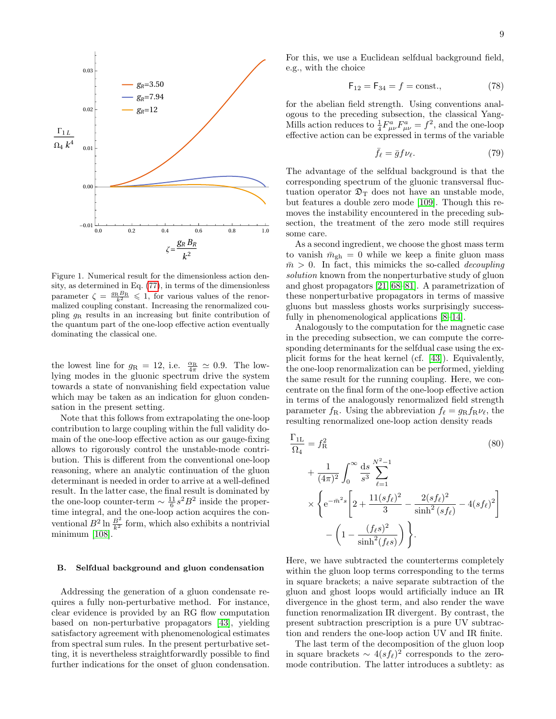

<span id="page-8-0"></span>Figure 1. Numerical result for the dimensionless action density, as determined in Eq. [\(77\)](#page-7-3), in terms of the dimensionless parameter  $\zeta = \frac{g_{\rm R} B_{\rm R}}{k^2} \leq 1$ , for various values of the renormalized coupling constant. Increasing the renormalized coupling  $g_R$  results in an increasing but finite contribution of the quantum part of the one-loop effective action eventually dominating the classical one.

the lowest line for  $g_R = 12$ , i.e.  $\frac{\alpha_R}{4\pi} \simeq 0.9$ . The lowlying modes in the gluonic spectrum drive the system towards a state of nonvanishing field expectation value which may be taken as an indication for gluon condensation in the present setting.

Note that this follows from extrapolating the one-loop contribution to large coupling within the full validity domain of the one-loop effective action as our gauge-fixing allows to rigorously control the unstable-mode contribution. This is different from the conventional one-loop reasoning, where an analytic continuation of the gluon determinant is needed in order to arrive at a well-defined result. In the latter case, the final result is dominated by the one-loop counter-term  $\sim \frac{11}{6} s^2 B^2$  inside the propertime integral, and the one-loop action acquires the conventional  $B^2 \ln \frac{B^2}{k^2}$  form, which also exhibits a nontrivial minimum [\[108\]](#page-22-18).

# B. Selfdual background and gluon condensation

Addressing the generation of a gluon condensate requires a fully non-perturbative method. For instance, clear evidence is provided by an RG flow computation based on non-perturbative propagators [\[43\]](#page-20-6), yielding satisfactory agreement with phenomenological estimates from spectral sum rules. In the present perturbative setting, it is nevertheless straightforwardly possible to find further indications for the onset of gluon condensation.

For this, we use a Euclidean selfdual background field, e.g., with the choice

$$
F_{12} = F_{34} = f = \text{const.},\tag{78}
$$

for the abelian field strength. Using conventions analogous to the preceding subsection, the classical Yang-Mills action reduces to  $\frac{1}{4}F_{\mu\nu}^aF_{\mu\nu}^a = f^2$ , and the one-loop effective action can be expressed in terms of the variable

$$
\bar{f}_{\ell} = \bar{g} f \nu_{\ell}.\tag{79}
$$

The advantage of the selfdual background is that the corresponding spectrum of the gluonic transversal fluctuation operator  $\mathfrak{D}_{\mathsf{T}}$  does not have an unstable mode, but features a double zero mode [\[109\]](#page-23-0). Though this removes the instability encountered in the preceding subsection, the treatment of the zero mode still requires some care.

As a second ingredient, we choose the ghost mass term to vanish  $\bar{m}_{\rm gh} = 0$  while we keep a finite gluon mass  $m > 0$ . In fact, this mimicks the so-called *decoupling* solution known from the nonperturbative study of gluon and ghost propagators [\[21,](#page-20-9) [68](#page-21-4)[–81\]](#page-22-0). A parametrization of these nonperturbative propagators in terms of massive gluons but massless ghosts works surprisingly successfully in phenomenological applications [\[8–](#page-19-6)[14\]](#page-19-7).

Analogously to the computation for the magnetic case in the preceding subsection, we can compute the corresponding determinants for the selfdual case using the explicit forms for the heat kernel (cf. [\[43\]](#page-20-6)). Equivalently, the one-loop renormalization can be performed, yielding the same result for the running coupling. Here, we concentrate on the final form of the one-loop effective action in terms of the analogously renormalized field strength parameter  $f_{\rm R}$ . Using the abbreviation  $f_{\ell} = g_{\rm R}f_{\rm R}\nu_{\ell}$ , the resulting renormalized one-loop action density reads

<span id="page-8-1"></span>
$$
\frac{\Gamma_{1L}}{\Omega_4} = f_R^2
$$
\n
$$
+ \frac{1}{(4\pi)^2} \int_0^\infty \frac{ds}{s^3} \sum_{\ell=1}^{N^2 - 1}
$$
\n
$$
\times \left\{ e^{-\bar{m}^2 s} \left[ 2 + \frac{11(sf_\ell)^2}{3} - \frac{2(sf_\ell)^2}{\sinh^2(sf_\ell)} - 4(sf_\ell)^2 \right] - \left( 1 - \frac{(f_\ell s)^2}{\sinh^2(f_\ell s)} \right) \right\}.
$$
\n(80)

Here, we have subtracted the counterterms completely within the gluon loop terms corresponding to the terms in square brackets; a naive separate subtraction of the gluon and ghost loops would artificially induce an IR divergence in the ghost term, and also render the wave function renormalization IR divergent. By contrast, the present subtraction prescription is a pure UV subtraction and renders the one-loop action UV and IR finite.

The last term of the decomposition of the gluon loop in square brackets  $\sim 4(s f_\ell)^2$  corresponds to the zeromode contribution. The latter introduces a subtlety: as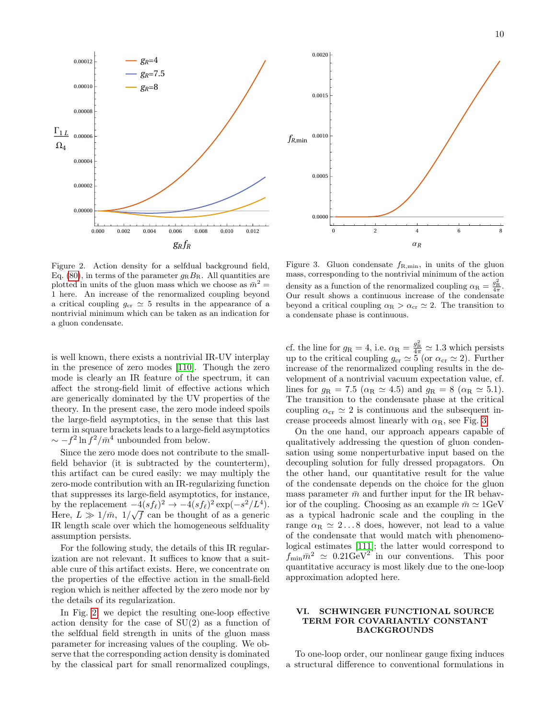



<span id="page-9-1"></span>Figure 2. Action density for a selfdual background field, Eq. [\(80\)](#page-8-1), in terms of the parameter  $g_R B_R$ . All quantities are plotted in units of the gluon mass which we choose as  $\bar{m}^2$  = 1 here. An increase of the renormalized coupling beyond a critical coupling  $g_{cr} \simeq 5$  results in the appearance of a nontrivial minimum which can be taken as an indication for a gluon condensate.

is well known, there exists a nontrivial IR-UV interplay in the presence of zero modes [\[110\]](#page-23-1). Though the zero mode is clearly an IR feature of the spectrum, it can affect the strong-field limit of effective actions which are generically dominated by the UV properties of the theory. In the present case, the zero mode indeed spoils the large-field asymptotics, in the sense that this last term in square brackets leads to a large-field asymptotics  $\sim -f^2 \ln f^2 / \bar{m}^4$  unbounded from below.

Since the zero mode does not contribute to the smallfield behavior (it is subtracted by the counterterm), this artifact can be cured easily: we may multiply the zero-mode contribution with an IR-regularizing function that suppresses its large-field asymptotics, for instance, by the replacement  $-4(sf_\ell)^2 \rightarrow -4(sf_\ell)^2 \exp(-s^2/L^4)$ . Here,  $L \gg 1/\bar{m}$ ,  $1/\sqrt{f}$  can be thought of as a generic IR length scale over which the homogeneous selfduality assumption persists.

For the following study, the details of this IR regularization are not relevant. It suffices to know that a suitable cure of this artifact exists. Here, we concentrate on the properties of the effective action in the small-field region which is neither affected by the zero mode nor by the details of its regularization.

In Fig. [2,](#page-9-1) we depict the resulting one-loop effective action density for the case of SU(2) as a function of the selfdual field strength in units of the gluon mass parameter for increasing values of the coupling. We observe that the corresponding action density is dominated by the classical part for small renormalized couplings,

<span id="page-9-2"></span>Figure 3. Gluon condensate  $f_{\rm R,min}$ , in units of the gluon mass, corresponding to the nontrivial minimum of the action density as a function of the renormalized coupling  $\alpha_R = \frac{g_R^2}{4\pi}$ . Our result shows a continuous increase of the condensate beyond a critical coupling  $\alpha_R > \alpha_{cr} \simeq 2$ . The transition to a condensate phase is continuous.

cf. the line for  $g_R = 4$ , i.e.  $\alpha_R = \frac{g_R^2}{4\pi} \simeq 1.3$  which persists up to the critical coupling  $g_{cr} \simeq 5$  (or  $\alpha_{cr} \simeq 2$ ). Further increase of the renormalized coupling results in the development of a nontrivial vacuum expectation value, cf. lines for  $g_R = 7.5$  ( $\alpha_R \simeq 4.5$ ) and  $g_R = 8$  ( $\alpha_R \simeq 5.1$ ). The transition to the condensate phase at the critical coupling  $\alpha_{\rm cr} \simeq 2$  is continuous and the subsequent increase proceeds almost linearly with  $\alpha_R$ , see Fig. [3.](#page-9-2)

On the one hand, our approach appears capable of qualitatively addressing the question of gluon condensation using some nonperturbative input based on the decoupling solution for fully dressed propagators. On the other hand, our quantitative result for the value of the condensate depends on the choice for the gluon mass parameter  $\bar{m}$  and further input for the IR behavior of the coupling. Choosing as an example  $\bar{m} \simeq 1 \text{GeV}$ as a typical hadronic scale and the coupling in the range  $\alpha_R \simeq 2...8$  does, however, not lead to a value of the condensate that would match with phenomenological estimates [\[111\]](#page-23-2); the latter would correspond to  $f_{\min} \bar{m}^2 \simeq 0.21 \text{GeV}^2$  in our conventions. This poor quantitative accuracy is most likely due to the one-loop approximation adopted here.

## <span id="page-9-0"></span>VI. SCHWINGER FUNCTIONAL SOURCE TERM FOR COVARIANTLY CONSTANT BACKGROUNDS

To one-loop order, our nonlinear gauge fixing induces a structural difference to conventional formulations in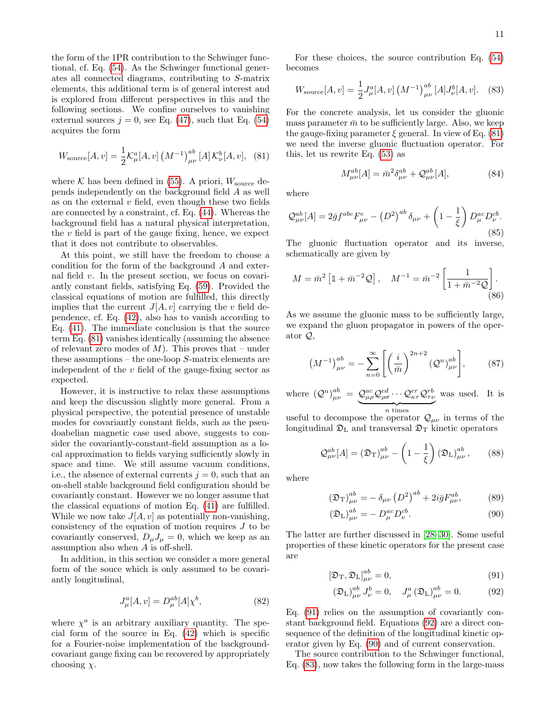the form of the 1PR contribution to the Schwinger functional, cf. Eq. [\(54\)](#page-5-2). As the Schwinger functional generates all connected diagrams, contributing to S-matrix elements, this additional term is of general interest and is explored from different perspectives in this and the following sections. We confine ourselves to vanishing external sources  $j = 0$ , see Eq. [\(47\)](#page-4-6), such that Eq. [\(54\)](#page-5-2) acquires the form

<span id="page-10-0"></span>
$$
W_{\text{source}}[A, v] = \frac{1}{2} \mathcal{K}_{\mu}^{a}[A, v] \left( M^{-1} \right)_{\mu\nu}^{ab} [A] \mathcal{K}_{\nu}^{b}[A, v], \quad (81)
$$

where K has been defined in  $(55)$ . A priori,  $W_{\text{source}}$  depends independently on the background field A as well as on the external  $v$  field, even though these two fields are connected by a constraint, cf. Eq. [\(44\)](#page-4-7). Whereas the background field has a natural physical interpretation, the  $v$  field is part of the gauge fixing, hence, we expect that it does not contribute to observables.

At this point, we still have the freedom to choose a condition for the form of the background A and external field v. In the present section, we focus on covariantly constant fields, satisfying Eq. [\(59\)](#page-6-2). Provided the classical equations of motion are fulfilled, this directly implies that the current  $J[A, v]$  carrying the v field dependence, cf. Eq. [\(42\)](#page-4-8), also has to vanish according to Eq. [\(41\)](#page-4-3). The immediate conclusion is that the source term Eq. [\(81\)](#page-10-0) vanishes identically (assuming the absence of relevant zero modes of  $M$ ). This proves that – under these assumptions – the one-loop S-matrix elements are independent of the  $v$  field of the gauge-fixing sector as expected.

However, it is instructive to relax these assumptions and keep the discussion slightly more general. From a physical perspective, the potential presence of unstable modes for covariantly constant fields, such as the pseudoabelian magnetic case used above, suggests to consider the covariantly-constant-field assumption as a local approximation to fields varying sufficiently slowly in space and time. We still assume vacuum conditions, i.e., the absence of external currents  $j = 0$ , such that an on-shell stable background field configuration should be covariantly constant. However we no longer assume that the classical equations of motion Eq. [\(41\)](#page-4-3) are fulfilled. While we now take  $J[A, v]$  as potentially non-vanishing, consistency of the equation of motion requires J to be covariantly conserved,  $D_{\mu}J_{\mu} = 0$ , which we keep as an assumption also when A is off-shell.

In addition, in this section we consider a more general form of the souce which is only assumed to be covariantly longitudinal,

$$
J_{\mu}^{a}[A,v] = D_{\mu}^{ab}[A]\chi^{b},\qquad(82)
$$

where  $\chi^a$  is an arbitrary auxiliary quantity. The special form of the source in Eq. [\(42\)](#page-4-8) which is specific for a Fourier-noise implementation of the backgroundcovariant gauge fixing can be recovered by appropriately choosing  $\chi$ .

For these choices, the source contribution Eq. [\(54\)](#page-5-2) becomes

$$
W_{\text{source}}[A, v] = \frac{1}{2} J_{\mu}^{a}[A, v] \left( M^{-1} \right)_{\mu\nu}^{ab} [A] J_{\nu}^{b}[A, v]. \quad (83)
$$

For the concrete analysis, let us consider the gluonic mass parameter  $\bar{m}$  to be sufficiently large. Also, we keep the gauge-fixing parameter  $\xi$  general. In view of Eq. [\(81\)](#page-10-0) we need the inverse gluonic fluctuation operator. For this, let us rewrite Eq. [\(53\)](#page-5-7) as

<span id="page-10-4"></span>
$$
M_{\mu\nu}^{ab}[A] = \bar{m}^2 \delta_{\mu\nu}^{ab} + \mathcal{Q}_{\mu\nu}^{ab}[A],\tag{84}
$$

where

$$
\mathcal{Q}^{ab}_{\mu\nu}[A] = 2\bar{g}f^{abc}F^{c}_{\mu\nu} - (D^2)^{ab}\delta_{\mu\nu} + \left(1 - \frac{1}{\xi}\right)D^{ac}_{\mu}D^{cb}_{\nu}.
$$
\n(85)

The gluonic fluctuation operator and its inverse, schematically are given by

$$
M = \bar{m}^2 \left[ 1 + \bar{m}^{-2} \mathcal{Q} \right], \quad M^{-1} = \bar{m}^{-2} \left[ \frac{1}{1 + \bar{m}^{-2} \mathcal{Q}} \right].
$$
\n(86)

As we assume the gluonic mass to be sufficiently large, we expand the gluon propagator in powers of the operator Q,

<span id="page-10-7"></span>
$$
(M^{-1})^{ab}_{\mu\nu} = -\sum_{n=0}^{\infty} \left[ \left( \frac{i}{\bar{m}} \right)^{2n+2} (\mathcal{Q}^n)^{ab}_{\mu\nu} \right],\tag{87}
$$

where  $(Q^n)_{\mu\nu}^{ab} = Q^{ac}_{\mu\rho} Q^{cd}_{\rho\sigma} \cdots Q^{er}_{\kappa\tau} Q^{rb}_{\tau\nu}$  $\overbrace{n \text{ times}}$ was used. It is

useful to decompose the operator  $\mathcal{Q}_{\mu\nu}$  in terms of the longitudinal  $\mathfrak{D}_{\mathrm{L}}$  and transversal  $\mathfrak{D}_{\mathrm{T}}$  kinetic operators

$$
\mathcal{Q}_{\mu\nu}^{ab}[A] = (\mathfrak{D}_{\mathrm{T}})_{\mu\nu}^{ab} - \left(1 - \frac{1}{\xi}\right)(\mathfrak{D}_{\mathrm{L}})_{\mu\nu}^{ab},\qquad(88)
$$

where

 $\overline{(\ }$ 

$$
\left(\mathfrak{D}_{\mathrm{T}}\right)^{ab}_{\mu\nu} = -\delta_{\mu\nu} \left(D^2\right)^{ab} + 2i\bar{g}F^{ab}_{\mu\nu},\tag{89}
$$

<span id="page-10-6"></span><span id="page-10-3"></span>
$$
\mathfrak{D}_{\mathcal{L}}\big)_{\mu\nu}^{ab} = -D_{\mu}^{ac} D_{\nu}^{cb}.
$$
\n(90)

The latter are further discussed in [\[28–](#page-20-1)[30\]](#page-20-4). Some useful properties of these kinetic operators for the present case are

<span id="page-10-1"></span>
$$
\left[\mathfrak{D}_{\mathrm{T}}, \mathfrak{D}_{\mathrm{L}}\right]_{\mu\nu}^{ab} = 0,\tag{91}
$$

<span id="page-10-2"></span>
$$
\left(\mathfrak{D}_{\mathrm{L}}\right)^{ab}_{\mu\nu} J^{b}_{\nu} = 0, \quad J^{a}_{\mu} \left(\mathfrak{D}_{\mathrm{L}}\right)^{ab}_{\mu\nu} = 0. \tag{92}
$$

<span id="page-10-5"></span>Eq. [\(91\)](#page-10-1) relies on the assumption of covariantly constant background field. Equations [\(92\)](#page-10-2) are a direct consequence of the definition of the longitudinal kinetic operator given by Eq. [\(90\)](#page-10-3) and of current conservation.

The source contribution to the Schwinger functional, Eq. [\(83\)](#page-10-4), now takes the following form in the large-mass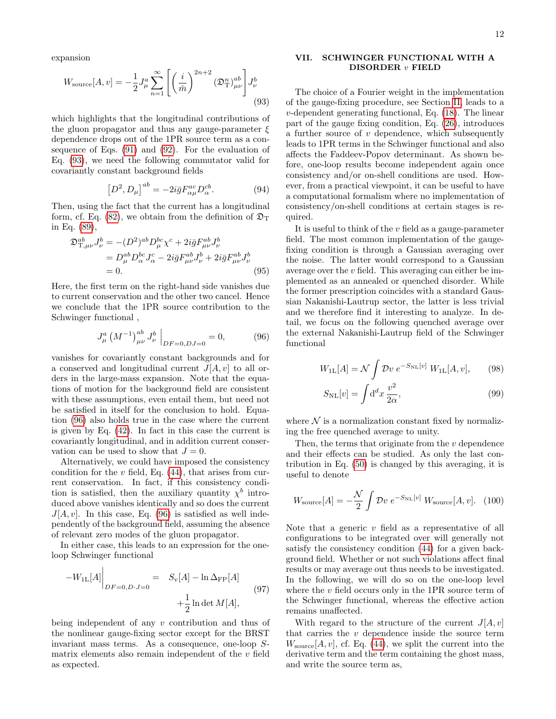expansion

$$
W_{\text{source}}[A, v] = -\frac{1}{2} J_{\mu}^{a} \sum_{n=1}^{\infty} \left[ \left( \frac{i}{\bar{m}} \right)^{2n+2} (\mathfrak{D}_{\text{T}}^{n})_{\mu\nu}^{ab} \right] J_{\nu}^{b}
$$
\n(93)

which highlights that the longitudinal contributions of the gluon propagator and thus any gauge-parameter  $\xi$ dependence drops out of the 1PR source term as a consequence of Eqs. [\(91\)](#page-10-1) and [\(92\)](#page-10-2). For the evaluation of Eq. [\(93\)](#page-11-0), we need the following commutator valid for covariantly constant background fields

$$
\left[D^2, D_\mu\right]^{ab} = -2i\bar{g}F^{ac}_{\alpha\mu}D^{cb}_\alpha.
$$
 (94)

Then, using the fact that the current has a longitudinal form, cf. Eq. [\(82\)](#page-10-5), we obtain from the definition of  $\mathfrak{D}_{\mathrm{T}}$ in Eq. [\(89\)](#page-10-6),

$$
\mathfrak{D}^{ab}_{\mathrm{T},\mu\nu}J^b_{\nu} = -(D^2)^{ab}D^{bc}_{\mu}\chi^c + 2i\bar{g}F^{ab}_{\mu\nu}J^b_{\nu}
$$
  
= 
$$
D^{ab}_{\mu}D^{bc}_{\alpha}J^c_{\alpha} - 2i\bar{g}F^{ab}_{\mu\nu}J^b_{\nu} + 2i\bar{g}F^{ab}_{\mu\nu}J^b_{\nu}
$$
  
= 0. (95)

Here, the first term on the right-hand side vanishes due to current conservation and the other two cancel. Hence we conclude that the 1PR source contribution to the Schwinger functional ,

$$
J_{\mu}^{a} \left( M^{-1} \right)_{\mu\nu}^{ab} J_{\nu}^{b} \Big|_{DF=0, DJ=0} = 0, \tag{96}
$$

vanishes for covariantly constant backgrounds and for a conserved and longitudinal current  $J[A, v]$  to all orders in the large-mass expansion. Note that the equations of motion for the background field are consistent with these assumptions, even entail them, but need not be satisfied in itself for the conclusion to hold. Equation [\(96\)](#page-11-1) also holds true in the case where the current is given by Eq. [\(42\)](#page-4-8). In fact in this case the current is covariantly longitudinal, and in addition current conservation can be used to show that  $J = 0$ .

Alternatively, we could have imposed the consistency condition for the  $v$  field, Eq.  $(44)$ , that arises from current conservation. In fact, if this consistency condition is satisfied, then the auxiliary quantity  $\chi^b$  introduced above vanishes identically and so does the current  $J[A, v]$ . In this case, Eq. [\(96\)](#page-11-1) is satisfied as well independently of the background field, assuming the absence of relevant zero modes of the gluon propagator.

In either case, this leads to an expression for the oneloop Schwinger functional

 $\mathbf{r}$ 

$$
-W_{1L}[A]\Big|_{DF=0,D\cdot J=0} = S_{\rm v}[A] - \ln \Delta_{\rm FP}[A] + \frac{1}{2}\ln \det M[A], \tag{97}
$$

being independent of any v contribution and thus of the nonlinear gauge-fixing sector except for the BRST invariant mass terms. As a consequence, one-loop Smatrix elements also remain independent of the  $v$  field as expected.

## VII. SCHWINGER FUNCTIONAL WITH A DISORDER v FIELD

<span id="page-11-0"></span>The choice of a Fourier weight in the implementation of the gauge-fixing procedure, see Section [II,](#page-1-0) leads to a v-dependent generating functional, Eq. [\(18\)](#page-2-4). The linear part of the gauge fixing condition, Eq. [\(26\)](#page-3-0), introduces a further source of  $v$  dependence, which subsequently leads to 1PR terms in the Schwinger functional and also affects the Faddeev-Popov determinant. As shown before, one-loop results become independent again once consistency and/or on-shell conditions are used. However, from a practical viewpoint, it can be useful to have a computational formalism where no implementation of consistency/on-shell conditions at certain stages is required.

It is useful to think of the  $v$  field as a gauge-parameter field. The most common implementation of the gaugefixing condition is through a Gaussian averaging over the noise. The latter would correspond to a Gaussian average over the  $v$  field. This averaging can either be implemented as an annealed or quenched disorder. While the former prescription coincides with a standard Gaussian Nakanishi-Lautrup sector, the latter is less trivial and we therefore find it interesting to analyze. In detail, we focus on the following quenched average over the external Nakanishi-Lautrup field of the Schwinger functional

<span id="page-11-1"></span>
$$
W_{1L}[A] = \mathcal{N} \int \mathcal{D}v \ e^{-S_{\rm NL}[v]} \ W_{1L}[A, v], \qquad (98)
$$

$$
S_{\rm NL}[v] = \int \mathrm{d}^d x \, \frac{v^2}{2\alpha},\tag{99}
$$

where  $\mathcal N$  is a normalization constant fixed by normalizing the free quenched average to unity.

Then, the terms that originate from the v dependence and their effects can be studied. As only the last contribution in Eq. [\(50\)](#page-5-1) is changed by this averaging, it is useful to denote

$$
W_{\text{source}}[A] = -\frac{\mathcal{N}}{2} \int \mathcal{D}v \ e^{-S_{\text{NL}}[v]} \ W_{\text{source}}[A, v]. \tag{100}
$$

Note that a generic  $v$  field as a representative of all configurations to be integrated over will generally not satisfy the consistency condition [\(44\)](#page-4-7) for a given background field. Whether or not such violations affect final results or may average out thus needs to be investigated. In the following, we will do so on the one-loop level where the  $v$  field occurs only in the 1PR source term of the Schwinger functional, whereas the effective action remains unaffected.

With regard to the structure of the current  $J[A, v]$ that carries the  $v$  dependence inside the source term  $W_{\text{source}}[A, v]$ , cf. Eq. [\(44\)](#page-4-7), we split the current into the derivative term and the term containing the ghost mass, and write the source term as,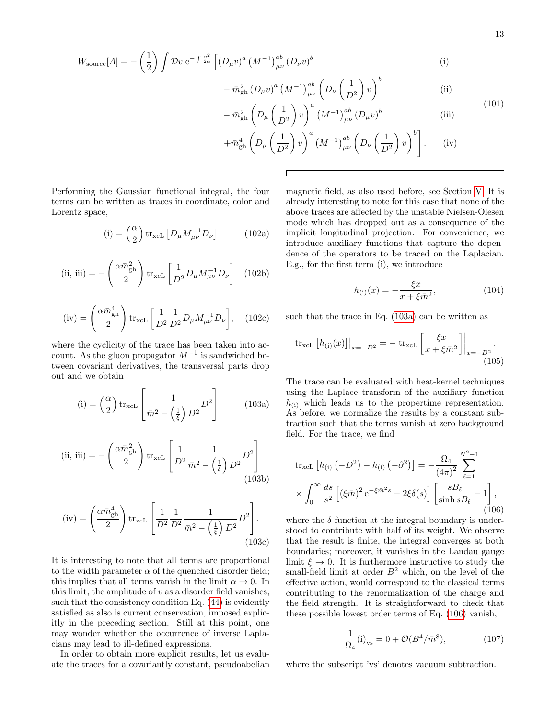<span id="page-12-5"></span>
$$
W_{\text{source}}[A] = -\left(\frac{1}{2}\right) \int \mathcal{D}v \, \mathrm{e}^{-\int \frac{v^2}{2\alpha}} \left[ \left(D_\mu v\right)^a \left(M^{-1}\right)^{ab}_{\mu\nu} \left(D_\nu v\right)^b \right] \tag{i}
$$

$$
- \bar{m}_{\rm gh}^2 (D_{\mu} v)^a (M^{-1})_{\mu\nu}^{ab} \left( D_{\nu} \left( \frac{1}{D^2} \right) v \right)^b
$$
 (ii)

$$
- \bar{m}_{\text{gh}}^2 \left( D_{\mu} \left( \frac{1}{D^2} \right) v \right)^a \left( M^{-1} \right)^{ab}_{\mu \nu} \left( D_{\mu} v \right)^b \tag{101}
$$

$$
+\bar{m}_{\mathrm{gh}}^{4}\left(D_{\mu}\left(\frac{1}{D^{2}}\right)v\right)^{a}\left(M^{-1}\right)^{ab}_{\mu\nu}\left(D_{\nu}\left(\frac{1}{D^{2}}\right)v\right)^{b}\right].\qquad\left(\mathrm{iv}\right)
$$

Performing the Gaussian functional integral, the four terms can be written as traces in coordinate, color and Lorentz space,

(i) = 
$$
\left(\frac{\alpha}{2}\right)
$$
 tr<sub>xcL</sub>  $\left[D_{\mu} M_{\mu\nu}^{-1} D_{\nu}\right]$  (102a)

(ii, iii) = 
$$
-\left(\frac{\alpha \bar{m}_{\text{gh}}^2}{2}\right) \text{tr}_{\text{xcL}} \left[\frac{1}{D^2} D_\mu M_{\mu\nu}^{-1} D_\nu\right]
$$
 (102b)

(iv) = 
$$
\left(\frac{\alpha \bar{m}_{\text{gh}}^4}{2}\right) \text{tr}_{\text{xcL}} \left[\frac{1}{D^2} \frac{1}{D^2} D_{\mu} M_{\mu\nu}^{-1} D_{\nu}\right],
$$
 (102c)

where the cyclicity of the trace has been taken into account. As the gluon propagator  $M^{-1}$  is sandwiched between covariant derivatives, the transversal parts drop out and we obtain

(i) = 
$$
\left(\frac{\alpha}{2}\right)
$$
 tr<sub>xcL</sub>  $\left[\frac{1}{\bar{m}^2 - \left(\frac{1}{\xi}\right)D^2}\right]$  (103a)

(ii, iii) = 
$$
-\left(\frac{\alpha \bar{m}_{\text{gh}}^2}{2}\right) \text{tr}_{\text{xcL}} \left[\frac{1}{D^2} \frac{1}{\bar{m}^2 - \left(\frac{1}{\xi}\right) D^2} D^2\right]
$$
 (103b)

(iv) = 
$$
\left(\frac{\alpha \bar{m}_{\text{gh}}^4}{2}\right) \text{tr}_{\text{xcL}} \left[\frac{1}{D^2} \frac{1}{D^2} \frac{1}{\bar{m}^2 - \left(\frac{1}{\xi}\right) D^2} D^2\right].
$$
 (103c)

It is interesting to note that all terms are proportional to the width parameter  $\alpha$  of the quenched disorder field; this implies that all terms vanish in the limit  $\alpha \to 0$ . In this limit, the amplitude of  $v$  as a disorder field vanishes, such that the consistency condition Eq. [\(44\)](#page-4-7) is evidently satisfied as also is current conservation, imposed explicitly in the preceding section. Still at this point, one may wonder whether the occurrence of inverse Laplacians may lead to ill-defined expressions.

In order to obtain more explicit results, let us evaluate the traces for a covariantly constant, pseudoabelian magnetic field, as also used before, see Section [V.](#page-6-0) It is already interesting to note for this case that none of the above traces are affected by the unstable Nielsen-Olesen mode which has dropped out as a consequence of the implicit longitudinal projection. For convenience, we introduce auxiliary functions that capture the dependence of the operators to be traced on the Laplacian. E.g., for the first term (i), we introduce

$$
h_{(i)}(x) = -\frac{\xi x}{x + \xi \bar{m}^2},\tag{104}
$$

such that the trace in Eq. [\(103a\)](#page-12-0) can be written as

$$
\text{tr}_{\text{xcl.}}\left[h_{\text{(i)}}(x)\right]\big|_{x=-D^2} = -\text{tr}_{\text{xcl.}}\left[\frac{\xi x}{x+\xi \bar{m}^2}\right]\bigg|_{x=-D^2}.
$$
\n(105)

<span id="page-12-0"></span>The trace can be evaluated with heat-kernel techniques using the Laplace transform of the auxiliary function  $h_{(i)}$  which leads us to the propertime representation. As before, we normalize the results by a constant subtraction such that the terms vanish at zero background field. For the trace, we find

<span id="page-12-2"></span><span id="page-12-1"></span>
$$
\text{tr}_{\text{xcL}}\left[h_{\text{(i)}}\left(-D^{2}\right)-h_{\text{(i)}}\left(-\partial^{2}\right)\right]=-\frac{\Omega_{4}}{\left(4\pi\right)^{2}}\sum_{\ell=1}^{N^{2}-1}
$$
\n
$$
\times\int_{0}^{\infty}\frac{ds}{s^{2}}\left[\left(\xi\bar{m}\right)^{2}e^{-\xi\bar{m}^{2}s}-2\xi\delta(s)\right]\left[\frac{sB_{\ell}}{\sinh sB_{\ell}}-1\right],\tag{106}
$$

<span id="page-12-3"></span>where the  $\delta$  function at the integral boundary is understood to contribute with half of its weight. We observe that the result is finite, the integral converges at both boundaries; moreover, it vanishes in the Landau gauge limit  $\xi \to 0$ . It is furthermore instructive to study the small-field limit at order  $B<sup>2</sup>$  which, on the level of the effective action, would correspond to the classical terms contributing to the renormalization of the charge and the field strength. It is straightforward to check that these possible lowest order terms of Eq. [\(106\)](#page-12-1) vanish,

<span id="page-12-4"></span>
$$
\frac{1}{\Omega_4}(\mathbf{i})_{\rm vs} = 0 + \mathcal{O}(B^4/\bar{m}^8),\tag{107}
$$

where the subscript 'vs' denotes vacuum subtraction.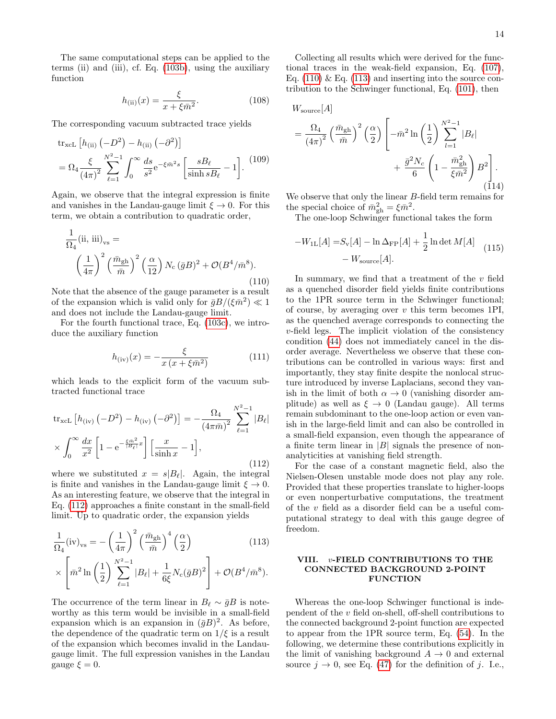The same computational steps can be applied to the terms (ii) and (iii), cf. Eq. [\(103b\)](#page-12-2), using the auxiliary function

$$
h_{\text{(ii)}}(x) = \frac{\xi}{x + \xi \bar{m}^2}.
$$
\n(108)

The corresponding vacuum subtracted trace yields

tr<sub>xcL</sub> 
$$
[h_{(ii)} (-D^2) - h_{(ii)} (-\partial^2)]
$$
  
=  $\Omega_4 \frac{\xi}{(4\pi)^2} \sum_{\ell=1}^{N^2-1} \int_0^\infty \frac{ds}{s^2} e^{-\xi \bar{m}^2 s} \left[ \frac{sB_\ell}{\sinh sB_\ell} - 1 \right].$  (109)

Again, we observe that the integral expression is finite and vanishes in the Landau-gauge limit  $\xi \to 0$ . For this term, we obtain a contribution to quadratic order,

<span id="page-13-1"></span>
$$
\frac{1}{\Omega_4}(\text{ii}, \text{iii})_{\text{vs}} =
$$
\n
$$
\left(\frac{1}{4\pi}\right)^2 \left(\frac{\bar{m}_{\text{gh}}}{\bar{m}}\right)^2 \left(\frac{\alpha}{12}\right) N_c (\bar{g}B)^2 + \mathcal{O}(B^4/\bar{m}^8).
$$
\n(110)

Note that the absence of the gauge parameter is a result of the expansion which is valid only for  $\bar{g}B/(\xi \bar{m}^2) \ll 1$ and does not include the Landau-gauge limit.

For the fourth functional trace, Eq. [\(103c\)](#page-12-3), we introduce the auxiliary function

$$
h_{\text{(iv)}}(x) = -\frac{\xi}{x(x + \xi \bar{m}^2)}\tag{111}
$$

which leads to the explicit form of the vacuum subtracted functional trace

<span id="page-13-0"></span>
$$
\text{tr}_{\text{xcL}}\left[h_{\text{(iv)}}\left(-D^2\right) - h_{\text{(iv)}}\left(-\partial^2\right)\right] = -\frac{\Omega_4}{\left(4\pi\bar{m}\right)^2} \sum_{\ell=1}^{N^2 - 1} |B_\ell|
$$

$$
\times \int_0^\infty \frac{dx}{x^2} \left[1 - e^{-\frac{\xi \bar{m}^2}{|B_\ell|}x}\right] \left[\frac{x}{\sinh x} - 1\right],\tag{112}
$$

where we substituted  $x = s|B_\ell|$ . Again, the integral is finite and vanishes in the Landau-gauge limit  $\xi \to 0$ . As an interesting feature, we observe that the integral in Eq. [\(112\)](#page-13-0) approaches a finite constant in the small-field limit. Up to quadratic order, the expansion yields

$$
\frac{1}{\Omega_4}(\text{iv})_{\text{vs}} = -\left(\frac{1}{4\pi}\right)^2 \left(\frac{\bar{m}_{\text{gh}}}{\bar{m}}\right)^4 \left(\frac{\alpha}{2}\right) \tag{113}
$$
\n
$$
\times \left[\bar{m}^2 \ln\left(\frac{1}{2}\right) \sum_{\ell=1}^{N^2-1} |B_{\ell}| + \frac{1}{6\xi} N_{\text{c}} (\bar{g}B)^2\right] + \mathcal{O}(B^4/\bar{m}^8).
$$

The occurrence of the term linear in  $B_\ell \sim \bar{g}B$  is noteworthy as this term would be invisible in a small-field expansion which is an expansion in  $(\bar{g}B)^2$ . As before, the dependence of the quadratic term on  $1/\xi$  is a result of the expansion which becomes invalid in the Landaugauge limit. The full expression vanishes in the Landau gauge  $\xi = 0$ .

Collecting all results which were derived for the functional traces in the weak-field expansion, Eq. [\(107\)](#page-12-4), Eq. [\(110\)](#page-13-1) & Eq. [\(113\)](#page-13-2) and inserting into the source contribution to the Schwinger functional, Eq. [\(101\)](#page-12-5), then

$$
W_{\rm source}[A]
$$

$$
= \frac{\Omega_4}{(4\pi)^2} \left(\frac{\bar{m}_{\text{gh}}}{\bar{m}}\right)^2 \left(\frac{\alpha}{2}\right) \left[-\bar{m}^2 \ln\left(\frac{1}{2}\right) \sum_{l=1}^{N^2-1} |B_{\ell}| \right. \\
\left. + \frac{\bar{g}^2 N_c}{6} \left(1 - \frac{\bar{m}_{\text{gh}}^2}{\xi \bar{m}^2}\right) B^2\right].
$$
\n(114)

We observe that only the linear B-field term remains for the special choice of  $\bar{m}^2_{\text{gh}} = \xi \bar{m}^2$ .

The one-loop Schwinger functional takes the form

$$
-W_{1L}[A] = S_{\rm v}[A] - \ln \Delta_{\rm FP}[A] + \frac{1}{2} \ln \det M[A]
$$
  
-  $W_{\rm source}[A]$ . (115)

In summary, we find that a treatment of the  $v$  field as a quenched disorder field yields finite contributions to the 1PR source term in the Schwinger functional; of course, by averaging over  $v$  this term becomes 1PI, as the quenched average corresponds to connecting the v-field legs. The implicit violation of the consistency condition [\(44\)](#page-4-7) does not immediately cancel in the disorder average. Nevertheless we observe that these contributions can be controlled in various ways: first and importantly, they stay finite despite the nonlocal structure introduced by inverse Laplacians, second they vanish in the limit of both  $\alpha \to 0$  (vanishing disorder amplitude) as well as  $\xi \rightarrow 0$  (Landau gauge). All terms remain subdominant to the one-loop action or even vanish in the large-field limit and can also be controlled in a small-field expansion, even though the appearance of a finite term linear in  $|B|$  signals the presence of nonanalyticities at vanishing field strength.

For the case of a constant magnetic field, also the Nielsen-Olesen unstable mode does not play any role. Provided that these properties translate to higher-loops or even nonperturbative computations, the treatment of the v field as a disorder field can be a useful computational strategy to deal with this gauge degree of freedom.

#### <span id="page-13-3"></span><span id="page-13-2"></span>VIII. v-FIELD CONTRIBUTIONS TO THE CONNECTED BACKGROUND 2-POINT **FUNCTION**

Whereas the one-loop Schwinger functional is independent of the v field on-shell, off-shell contributions to the connected background 2-point function are expected to appear from the 1PR source term, Eq. [\(54\)](#page-5-2). In the following, we determine these contributions explicitly in the limit of vanishing background  $A \rightarrow 0$  and external source  $j \rightarrow 0$ , see Eq. [\(47\)](#page-4-6) for the definition of j. I.e.,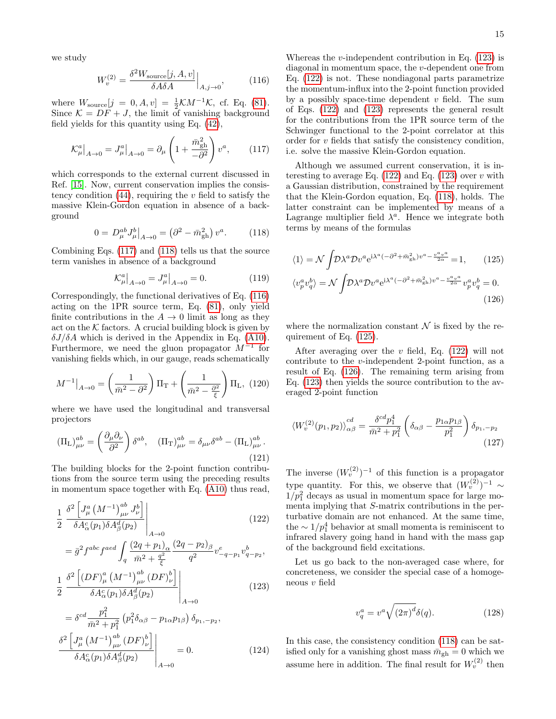we study

<span id="page-14-2"></span>
$$
W_v^{(2)} = \frac{\delta^2 W_{\text{source}}[j, A, v]}{\delta A \delta A} \Big|_{A, j \to 0}, \tag{116}
$$

where  $W_{\text{source}}[j = 0, A, v] = \frac{1}{2} \mathcal{K} M^{-1} \mathcal{K}$ , cf. Eq. [\(81\)](#page-10-0). Since  $\mathcal{K} = DF + J$ , the limit of vanishing background field yields for this quantity using Eq. [\(42\)](#page-4-8),

<span id="page-14-0"></span>
$$
\mathcal{K}^{a}_{\mu}|_{A\to 0} = J^{a}_{\mu}|_{A\to 0} = \partial_{\mu} \left( 1 + \frac{\bar{m}_{\text{gh}}^2}{-\partial^2} \right) v^a, \qquad (117)
$$

which corresponds to the external current discussed in Ref. [\[15\]](#page-19-8). Now, current conservation implies the consistency condition  $(44)$ , requiring the v field to satisfy the massive Klein-Gordon equation in absence of a background

$$
0 = D_{\mu}^{ab} J_{\mu}^{b} \big|_{A \to 0} = \left( \partial^{2} - \bar{m}_{\text{gh}}^{2} \right) v^{a}.
$$
 (118)

Combining Eqs. [\(117\)](#page-14-0) and [\(118\)](#page-14-1) tells us that the source term vanishes in absence of a background

$$
\mathcal{K}_{\mu}^{a}\big|_{A\to 0} = J_{\mu}^{a}\big|_{A\to 0} = 0. \tag{119}
$$

Correspondingly, the functional derivatives of Eq. [\(116\)](#page-14-2) acting on the 1PR source term, Eq. [\(81\)](#page-10-0), only yield finite contributions in the  $A \rightarrow 0$  limit as long as they act on the  $K$  factors. A crucial building block is given by  $\delta J/\delta A$  which is derived in the Appendix in Eq. [\(A10\)](#page-19-10). Furthermore, we need the gluon propagator  $M^{-1}$  for vanishing fields which, in our gauge, reads schematically

<span id="page-14-9"></span>
$$
M^{-1}|_{A\to 0} = \left(\frac{1}{\bar{m}^2 - \partial^2}\right) \Pi_{\rm T} + \left(\frac{1}{\bar{m}^2 - \frac{\partial^2}{\xi}}\right) \Pi_{\rm L}, (120)
$$

where we have used the longitudinal and transversal projectors

$$
(\Pi_{\mathcal{L}})_{\mu\nu}^{ab} = \left(\frac{\partial_{\mu}\partial_{\nu}}{\partial^2}\right)\delta^{ab}, \quad (\Pi_{\mathcal{T}})_{\mu\nu}^{ab} = \delta_{\mu\nu}\delta^{ab} - (\Pi_{\mathcal{L}})_{\mu\nu}^{ab}.
$$
\n(121)

The building blocks for the 2-point function contributions from the source term using the preceding results in momentum space together with Eq. [\(A10\)](#page-19-10) thus read,

$$
\frac{1}{2} \frac{\delta^2 \left[ J^a_\mu (M^{-1})^{ab}_{\mu\nu} J^b_\nu \right]}{\delta A^c_\alpha(p_1) \delta A^d_\beta(p_2)} \Bigg|_{A \to 0}
$$
\n
$$
= \bar{g}^2 f^{abc} f^{acd} \int_q \frac{(2q + p_1)_\alpha}{\bar{m}^2 + \frac{q^2}{\xi}} \frac{(2q - p_2)_\beta}{q^2} v^e_{-q - p_1} v^b_{q - p_2},
$$
\n
$$
\frac{1}{2} \frac{\delta^2 \left[ (DF)^a_{\mu} (M^{-1})^{ab}_{\mu\nu} (DF)^b_{\nu} \right]}{\delta A^c_\alpha(p_1) \delta A^d_\beta(p_2)} \Bigg|_{A \to 0}
$$
\n(123)

$$
= \delta^{cd} \frac{p_1^2}{\bar{m}^2 + p_1^2} \left( p_1^2 \delta_{\alpha \beta} - p_{1\alpha} p_{1\beta} \right) \delta_{p_1, -p_2},
$$
  

$$
\frac{\delta^2 \left[ J_\mu^a \left( M^{-1} \right)_{\mu\nu}^{ab} \left( DF \right)_\nu^b \right]}{\delta A_\alpha^c(p_1) \delta A_\beta^d(p_2)} \Bigg|_{A \to 0} = 0.
$$
 (124)

Whereas the *v*-independent contribution in Eq.  $(123)$  is diagonal in momentum space, the v-dependent one from Eq. [\(122\)](#page-14-4) is not. These nondiagonal parts parametrize the momentum-influx into the 2-point function provided by a possibly space-time dependent  $v$  field. The sum of Eqs. [\(122\)](#page-14-4) and [\(123\)](#page-14-3) represents the general result for the contributions from the 1PR source term of the Schwinger functional to the 2-point correlator at this order for v fields that satisfy the consistency condition, i.e. solve the massive Klein-Gordon equation.

Although we assumed current conservation, it is interesting to average Eq.  $(122)$  and Eq.  $(123)$  over v with a Gaussian distribution, constrained by the requirement that the Klein-Gordon equation, Eq. [\(118\)](#page-14-1), holds. The latter constraint can be implemented by means of a Lagrange multiplier field  $\lambda^a$ . Hence we integrate both terms by means of the formulas

<span id="page-14-6"></span><span id="page-14-5"></span><span id="page-14-1"></span>
$$
\langle 1 \rangle = \mathcal{N} \int \mathcal{D} \lambda^a \mathcal{D} v^a e^{i\lambda^a (-\partial^2 + \bar{m}_{\rm gh}^2) v^a - \frac{v^a v^a}{2\alpha}} = 1, \qquad (125)
$$

$$
\langle v_p^a v_q^b \rangle = \mathcal{N} \int \mathcal{D} \lambda^a \mathcal{D} v^a e^{i\lambda^a (-\partial^2 + \bar{m}_{\rm gh}^2) v^a - \frac{v^a v^a}{2\alpha}} v_p^a v_q^b = 0.
$$

$$
(126)
$$

where the normalization constant  $\mathcal N$  is fixed by the requirement of Eq. [\(125\)](#page-14-5).

After averaging over the  $v$  field, Eq. [\(122\)](#page-14-4) will not contribute to the v-independent 2-point function, as a result of Eq. [\(126\)](#page-14-6). The remaining term arising from Eq. [\(123\)](#page-14-3) then yields the source contribution to the averaged 2-point function

<span id="page-14-7"></span>
$$
\langle W_v^{(2)}(p_1, p_2) \rangle_{\alpha \beta}^{cd} = \frac{\delta^{cd} p_1^4}{\bar{m}^2 + p_1^2} \left( \delta_{\alpha \beta} - \frac{p_{1\alpha} p_{1\beta}}{p_1^2} \right) \delta_{p_1, -p_2} \tag{127}
$$

<span id="page-14-4"></span>The inverse  $(W_v^{(2)})^{-1}$  of this function is a propagator type quantity. For this, we observe that  $(W_v^{(2)})^{-1} \sim$  $1/p_1^2$  decays as usual in momentum space for large momenta implying that S-matrix contributions in the perturbative domain are not enhanced. At the same time, the  $\sim 1/p_1^4$  behavior at small momenta is reminiscent to infrared slavery going hand in hand with the mass gap of the background field excitations.

<span id="page-14-3"></span>Let us go back to the non-averaged case where, for concreteness, we consider the special case of a homogeneous v field

<span id="page-14-8"></span>
$$
v_q^a = v^a \sqrt{(2\pi)^d} \delta(q). \tag{128}
$$

In this case, the consistency condition [\(118\)](#page-14-1) can be satisfied only for a vanishing ghost mass  $\bar{m}_{\mathrm{gh}} = 0$  which we assume here in addition. The final result for  $W_v^{(2)}$  then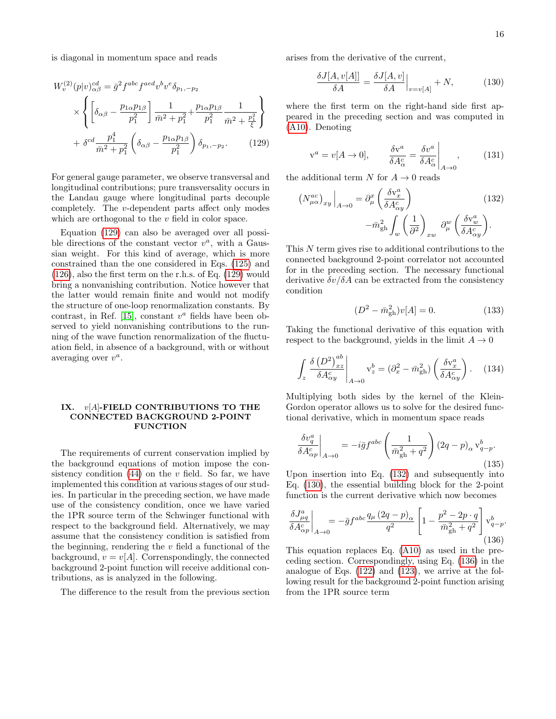is diagonal in momentum space and reads

<span id="page-15-1"></span>
$$
W_v^{(2)}(p|v)_{\alpha\beta}^{cd} = \bar{g}^2 f^{abc} f^{acd} v^b v^e \delta_{p_1,-p_2}
$$
  
 
$$
\times \left\{ \left[ \delta_{\alpha\beta} - \frac{p_{1\alpha} p_{1\beta}}{p_1^2} \right] \frac{1}{\bar{m}^2 + p_1^2} + \frac{p_{1\alpha} p_{1\beta}}{p_1^2} \frac{1}{\bar{m}^2 + \frac{p_1^2}{\xi}} \right\}
$$
  
 
$$
+ \delta^{cd} \frac{p_1^4}{\bar{m}^2 + p_1^2} \left( \delta_{\alpha\beta} - \frac{p_{1\alpha} p_{1\beta}}{p_1^2} \right) \delta_{p_1,-p_2}.
$$
 (129)

For general gauge parameter, we observe transversal and longitudinal contributions; pure transversality occurs in the Landau gauge where longitudinal parts decouple completely. The v-dependent parts affect only modes which are orthogonal to the  $v$  field in color space.

Equation [\(129\)](#page-15-1) can also be averaged over all possible directions of the constant vector  $v^a$ , with a Gaussian weight. For this kind of average, which is more constrained than the one considered in Eqs. [\(125\)](#page-14-5) and [\(126\)](#page-14-6), also the first term on the r.h.s. of Eq. [\(129\)](#page-15-1) would bring a nonvanishing contribution. Notice however that the latter would remain finite and would not modify the structure of one-loop renormalization constants. By contrast, in Ref. [\[15\]](#page-19-8), constant  $v^a$  fields have been observed to yield nonvanishing contributions to the running of the wave function renormalization of the fluctuation field, in absence of a background, with or without averaging over  $v^a$ .

#### <span id="page-15-0"></span>IX.  $v[A]$ -FIELD CONTRIBUTIONS TO THE CONNECTED BACKGROUND 2-POINT FUNCTION

The requirements of current conservation implied by the background equations of motion impose the consistency condition  $(44)$  on the v field. So far, we have implemented this condition at various stages of our studies. In particular in the preceding section, we have made use of the consistency condition, once we have varied the 1PR source term of the Schwinger functional with respect to the background field. Alternatively, we may assume that the consistency condition is satisfied from the beginning, rendering the  $v$  field a functional of the background,  $v = v[A]$ . Correnspondingly, the connected background 2-point function will receive additional contributions, as is analyzed in the following.

The difference to the result from the previous section

arises from the derivative of the current,

<span id="page-15-3"></span>
$$
\frac{\delta J[A, v[A]]}{\delta A} = \frac{\delta J[A, v]}{\delta A}\Big|_{v=v[A]} + N,\tag{130}
$$

where the first term on the right-hand side first appeared in the preceding section and was computed in [\(A10\)](#page-19-10). Denoting

$$
\mathbf{v}^a = v[A \to 0], \qquad \frac{\delta \mathbf{v}^a}{\delta A^c_\alpha} = \frac{\delta v^a}{\delta A^c_\alpha} \bigg|_{A \to 0}, \tag{131}
$$

the additional term N for  $A \rightarrow 0$  reads

<span id="page-15-2"></span>
$$
\left(N_{\mu\alpha}^{ac}\right)_{xy}\Big|_{A\to 0} = \partial_{\mu}^{x}\left(\frac{\delta v_{x}^{a}}{\delta A_{\alpha y}^{c}}\right)
$$
\n
$$
-\bar{m}_{\text{gh}}^{2}\int_{w}\left(\frac{1}{\partial^{2}}\right)_{xw}\partial_{\mu}^{w}\left(\frac{\delta v_{w}^{a}}{\delta A_{\alpha y}^{c}}\right).
$$
\n(132)

This N term gives rise to additional contributions to the connected background 2-point correlator not accounted for in the preceding section. The necessary functional derivative  $\delta v/\delta A$  can be extracted from the consistency condition

$$
(D^2 - \bar{m}_{\rm gh}^2)v[A] = 0.
$$
 (133)

Taking the functional derivative of this equation with respect to the background, yields in the limit  $A \to 0$ 

$$
\int_{z} \frac{\delta (D^2)_{xz}^{ab}}{\delta A_{\alpha y}^c} \bigg|_{A \to 0} \mathbf{v}_z^b = (\partial_x^2 - \bar{m}_{\text{gh}}^2) \left( \frac{\delta \mathbf{v}_x^a}{\delta A_{\alpha y}^c} \right). \tag{134}
$$

Multiplying both sides by the kernel of the Klein-Gordon operator allows us to solve for the desired functional derivative, which in momentum space reads

$$
\left. \frac{\delta v_q^a}{\delta A_{\alpha p}^c} \right|_{A \to 0} = -i\bar{g} f^{abc} \left( \frac{1}{\bar{m}_{\text{gh}}^2 + q^2} \right) (2q - p)_{\alpha} v_{q-p}^b. \tag{135}
$$

Upon insertion into Eq. [\(132\)](#page-15-2) and subsequently into Eq. [\(130\)](#page-15-3), the essential building block for the 2-point function is the current derivative which now becomes

<span id="page-15-4"></span>
$$
\left.\frac{\delta J^a_{\mu q}}{\delta A^c_{\alpha p}}\right|_{A\to 0} = -\bar{g}f^{abc}\frac{q_\mu\left(2q-p\right)_\alpha}{q^2} \left[1 - \frac{p^2 - 2p \cdot q}{\bar{m}_{\text{gh}}^2 + q^2}\right] \mathbf{v}^b_{q-p}.\tag{136}
$$

This equation replaces Eq. [\(A10\)](#page-19-10) as used in the preceding section. Correspondingly, using Eq. [\(136\)](#page-15-4) in the analogue of Eqs. [\(122\)](#page-14-4) and [\(123\)](#page-14-3), we arrive at the following result for the background 2-point function arising from the 1PR source term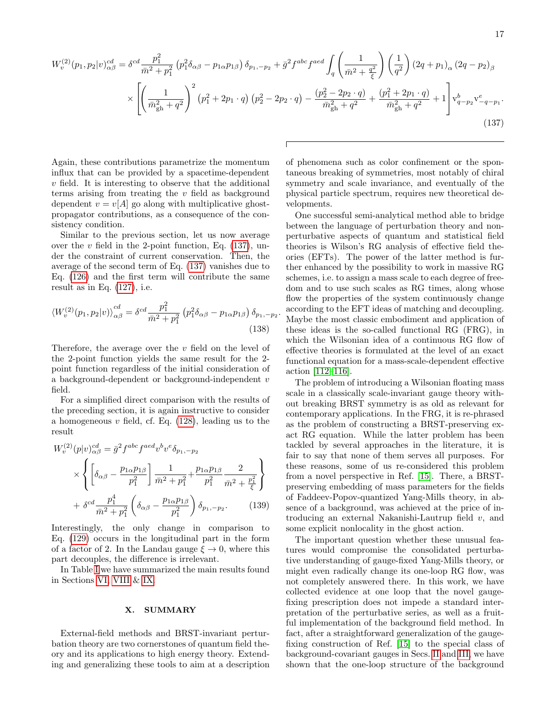$$
17\quad
$$

<span id="page-16-1"></span>
$$
W_v^{(2)}(p_1, p_2|v)_{\alpha\beta}^{cd} = \delta^{cd} \frac{p_1^2}{\bar{m}^2 + p_1^2} \left( p_1^2 \delta_{\alpha\beta} - p_{1\alpha} p_{1\beta} \right) \delta_{p_1, -p_2} + \bar{g}^2 f^{abc} f^{acd} \int_q \left( \frac{1}{\bar{m}^2 + \frac{q^2}{\xi}} \right) \left( \frac{1}{q^2} \right) (2q + p_1)_{\alpha} (2q - p_2)_{\beta}
$$

$$
\times \left[ \left( \frac{1}{\bar{m}_{\text{gh}}^2 + q^2} \right)^2 (p_1^2 + 2p_1 \cdot q) \left( p_2^2 - 2p_2 \cdot q \right) - \frac{(p_2^2 - 2p_2 \cdot q)}{\bar{m}_{\text{gh}}^2 + q^2} + \frac{(p_1^2 + 2p_1 \cdot q)}{\bar{m}_{\text{gh}}^2 + q^2} + 1 \right] v_{q - p_2}^b v_{-q - p_1}^e.
$$
\n(137)

<span id="page-16-2"></span>.

Again, these contributions parametrize the momentum influx that can be provided by a spacetime-dependent v field. It is interesting to observe that the additional terms arising from treating the  $v$  field as background dependent  $v = v[A]$  go along with multiplicative ghostpropagator contributions, as a consequence of the consistency condition.

Similar to the previous section, let us now average over the v field in the 2-point function, Eq.  $(137)$ , under the constraint of current conservation. Then, the average of the second term of Eq. [\(137\)](#page-16-1) vanishes due to Eq. [\(126\)](#page-14-6) and the first term will contribute the same result as in Eq. [\(127\)](#page-14-7), i.e.

$$
\langle W_v^{(2)}(p_1, p_2|v) \rangle_{\alpha\beta}^{cd} = \delta^{cd} \frac{p_1^2}{\bar{m}^2 + p_1^2} \left( p_1^2 \delta_{\alpha\beta} - p_{1\alpha} p_{1\beta} \right) \delta_{p_1, -p_2}
$$
\n(138)

Therefore, the average over the  $v$  field on the level of the 2-point function yields the same result for the 2 point function regardless of the initial consideration of a background-dependent or background-independent v field.

For a simplified direct comparison with the results of the preceding section, it is again instructive to consider a homogeneous v field, cf. Eq.  $(128)$ , leading us to the result

<span id="page-16-3"></span>
$$
W_v^{(2)}(p|v)_{\alpha\beta}^{cd} = \bar{g}^2 f^{abc} f^{acd} v^b v^e \delta_{p_1,-p_2}
$$
  
 
$$
\times \left\{ \left[ \delta_{\alpha\beta} - \frac{p_{1\alpha} p_{1\beta}}{p_1^2} \right] \frac{1}{\bar{m}^2 + p_1^2} + \frac{p_{1\alpha} p_{1\beta}}{p_1^2} \frac{2}{\bar{m}^2 + \frac{p_1^2}{\xi}} \right\}
$$
  
 
$$
+ \delta^{cd} \frac{p_1^4}{\bar{m}^2 + p_1^2} \left( \delta_{\alpha\beta} - \frac{p_{1\alpha} p_{1\beta}}{p_1^2} \right) \delta_{p_1,-p_2}.
$$
 (139)

Interestingly, the only change in comparison to Eq. [\(129\)](#page-15-1) occurs in the longitudinal part in the form of a factor of 2. In the Landau gauge  $\xi \to 0$ , where this part decouples, the difference is irrelevant.

In Table [I](#page-17-0) we have summarized the main results found in Sections [VI,](#page-9-0) [VIII](#page-13-3) & [IX.](#page-15-0)

#### <span id="page-16-0"></span>X. SUMMARY

External-field methods and BRST-invariant perturbation theory are two cornerstones of quantum field theory and its applications to high energy theory. Extending and generalizing these tools to aim at a description of phenomena such as color confinement or the spontaneous breaking of symmetries, most notably of chiral symmetry and scale invariance, and eventually of the physical particle spectrum, requires new theoretical developments.

One successful semi-analytical method able to bridge between the language of perturbation theory and nonperturbative aspects of quantum and statistical field theories is Wilson's RG analysis of effective field theories (EFTs). The power of the latter method is further enhanced by the possibility to work in massive RG schemes, i.e. to assign a mass scale to each degree of freedom and to use such scales as RG times, along whose flow the properties of the system continuously change according to the EFT ideas of matching and decoupling. Maybe the most classic embodiment and application of these ideas is the so-called functional RG (FRG), in which the Wilsonian idea of a continuous RG flow of effective theories is formulated at the level of an exact functional equation for a mass-scale-dependent effective action [\[112–](#page-23-3)[116\]](#page-23-4).

The problem of introducing a Wilsonian floating mass scale in a classically scale-invariant gauge theory without breaking BRST symmetry is as old as relevant for contemporary applications. In the FRG, it is re-phrased as the problem of constructing a BRST-preserving exact RG equation. While the latter problem has been tackled by several approaches in the literature, it is fair to say that none of them serves all purposes. For these reasons, some of us re-considered this problem from a novel perspective in Ref. [\[15\]](#page-19-8). There, a BRSTpreserving embedding of mass parameters for the fields of Faddeev-Popov-quantized Yang-Mills theory, in absence of a background, was achieved at the price of introducing an external Nakanishi-Lautrup field v, and some explicit nonlocality in the ghost action.

The important question whether these unusual features would compromise the consolidated perturbative understanding of gauge-fixed Yang-Mills theory, or might even radically change its one-loop RG flow, was not completely answered there. In this work, we have collected evidence at one loop that the novel gaugefixing prescription does not impede a standard interpretation of the perturbative series, as well as a fruitful implementation of the background field method. In fact, after a straightforward generalization of the gaugefixing construction of Ref. [\[15\]](#page-19-8) to the special class of background-covariant gauges in Secs. [II](#page-1-0) and [III,](#page-4-0) we have shown that the one-loop structure of the background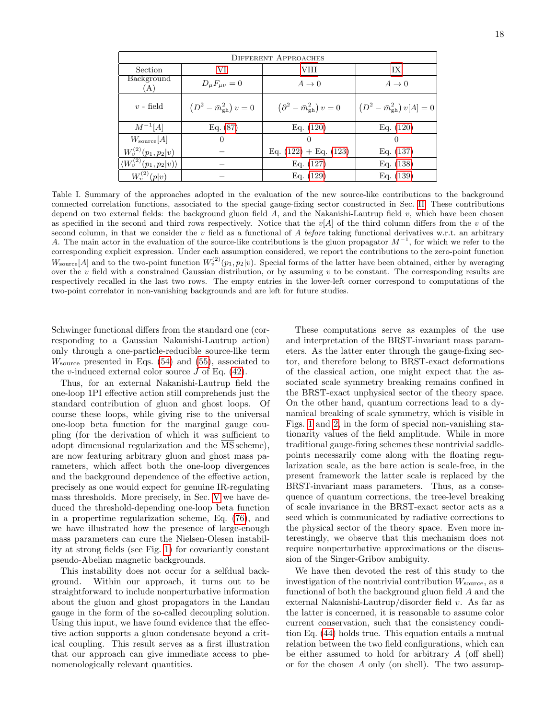| <b>DIFFERENT APPROACHES</b>                        |                              |                                                        |                                 |
|----------------------------------------------------|------------------------------|--------------------------------------------------------|---------------------------------|
| Section                                            | VI                           | VIII                                                   | IХ                              |
| <b>Background</b><br>(A)                           | $D_{\mu}F_{\mu\nu}=0$        | $A\rightarrow 0$                                       | $A\rightarrow 0$                |
| $v$ - field                                        | $(D^2 - m_{\rm gh}^2) v = 0$ | $\left(\partial^2 - \bar{m}_{\text{gh}}^2\right)v = 0$ | $(D^2 - m_{\rm eh}^2) v[A] = 0$ |
| $M^{-1}[A]$                                        | Eq. (87)                     | Eq. $(120)$                                            | Eq. $(120)$                     |
| $W_{\text{source}}[A]$                             | $\Omega$                     | $\Omega$                                               | $\Omega$                        |
| $W_v^{(2)}(p_1,p_2 v)$                             |                              | Eq. $(122) +$ Eq. $(123)$                              | Eq. $(137)$                     |
| $\langle \overline{W^{(2)}_{v}}(p_1,p_2 v)\rangle$ |                              | Eq. $(127)$                                            | Eq. $(138)$                     |
| $W_v^{(2)}(p v)$                                   |                              | Eq. $(129)$                                            | Eq. $(139)$                     |

<span id="page-17-0"></span>Table I. Summary of the approaches adopted in the evaluation of the new source-like contributions to the background connected correlation functions, associated to the special gauge-fixing sector constructed in Sec. [II.](#page-1-0) These contributions depend on two external fields: the background gluon field  $A$ , and the Nakanishi-Lautrup field  $v$ , which have been chosen as specified in the second and third rows respectively. Notice that the  $v[A]$  of the third column differs from the v of the second column, in that we consider the v field as a functional of A before taking functional derivatives w.r.t. an arbitrary A. The main actor in the evaluation of the source-like contributions is the gluon propagator  $M^{-1}$ , for which we refer to the corresponding explicit expression. Under each assumption considered, we report the contributions to the zero-point function  $W_{\text{source}}[A]$  and to the two-point function  $W_v^{(2)}(p_1, p_2|v)$ . Special forms of the latter have been obtained, either by averaging over the  $v$  field with a constrained Gaussian distribution, or by assuming  $v$  to be constant. The corresponding results are respectively recalled in the last two rows. The empty entries in the lower-left corner correspond to computations of the two-point correlator in non-vanishing backgrounds and are left for future studies.

Schwinger functional differs from the standard one (corresponding to a Gaussian Nakanishi-Lautrup action) only through a one-particle-reducible source-like term  $W_{\text{source}}$  presented in Eqs. [\(54\)](#page-5-2) and [\(55\)](#page-5-8), associated to the v-induced external color source  $J$  of Eq. [\(42\)](#page-4-8).

Thus, for an external Nakanishi-Lautrup field the one-loop 1PI effective action still comprehends just the standard contribution of gluon and ghost loops. Of course these loops, while giving rise to the universal one-loop beta function for the marginal gauge coupling (for the derivation of which it was sufficient to adopt dimensional regularization and the MS scheme), are now featuring arbitrary gluon and ghost mass parameters, which affect both the one-loop divergences and the background dependence of the effective action, precisely as one would expect for genuine IR-regulating mass thresholds. More precisely, in Sec. [V](#page-6-0) we have deduced the threshold-depending one-loop beta function in a propertime regularization scheme, Eq. [\(76\)](#page-7-4), and we have illustrated how the presence of large-enough mass parameters can cure the Nielsen-Olesen instability at strong fields (see Fig. [1\)](#page-8-0) for covariantly constant pseudo-Abelian magnetic backgrounds.

This instability does not occur for a selfdual background. Within our approach, it turns out to be straightforward to include nonperturbative information about the gluon and ghost propagators in the Landau gauge in the form of the so-called decoupling solution. Using this input, we have found evidence that the effective action supports a gluon condensate beyond a critical coupling. This result serves as a first illustration that our approach can give immediate access to phenomenologically relevant quantities.

These computations serve as examples of the use and interpretation of the BRST-invariant mass parameters. As the latter enter through the gauge-fixing sector, and therefore belong to BRST-exact deformations of the classical action, one might expect that the associated scale symmetry breaking remains confined in the BRST-exact unphysical sector of the theory space. On the other hand, quantum corrections lead to a dynamical breaking of scale symmetry, which is visible in Figs. [1](#page-8-0) and [2,](#page-9-1) in the form of special non-vanishing stationarity values of the field amplitude. While in more traditional gauge-fixing schemes these nontrivial saddlepoints necessarily come along with the floating regularization scale, as the bare action is scale-free, in the present framework the latter scale is replaced by the BRST-invariant mass parameters. Thus, as a consequence of quantum corrections, the tree-level breaking of scale invariance in the BRST-exact sector acts as a seed which is communicated by radiative corrections to the physical sector of the theory space. Even more interestingly, we observe that this mechanism does not require nonperturbative approximations or the discussion of the Singer-Gribov ambiguity.

We have then devoted the rest of this study to the investigation of the nontrivial contribution  $W_{\text{source}}$ , as a functional of both the background gluon field A and the external Nakanishi-Lautrup/disorder field v. As far as the latter is concerned, it is reasonable to assume color current conservation, such that the consistency condition Eq. [\(44\)](#page-4-7) holds true. This equation entails a mutual relation between the two field configurations, which can be either assumed to hold for arbitrary A (off shell) or for the chosen A only (on shell). The two assump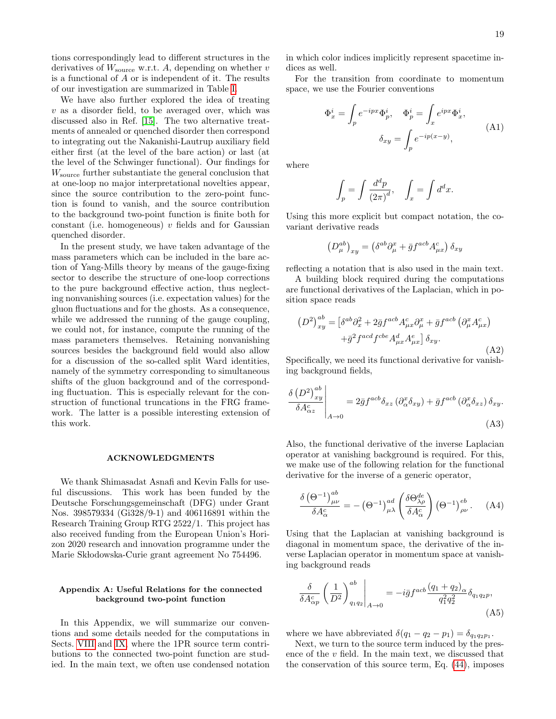tions correspondingly lead to different structures in the derivatives of  $W_{\text{source}}$  w.r.t. A, depending on whether v is a functional of A or is independent of it. The results of our investigation are summarized in Table [I.](#page-17-0)

We have also further explored the idea of treating  $v$  as a disorder field, to be averaged over, which was discussed also in Ref. [\[15\]](#page-19-8). The two alternative treatments of annealed or quenched disorder then correspond to integrating out the Nakanishi-Lautrup auxiliary field either first (at the level of the bare action) or last (at the level of the Schwinger functional). Our findings for Wsource further substantiate the general conclusion that at one-loop no major interpretational novelties appear, since the source contribution to the zero-point function is found to vanish, and the source contribution to the background two-point function is finite both for constant (i.e. homogeneous)  $v$  fields and for Gaussian quenched disorder.

In the present study, we have taken advantage of the mass parameters which can be included in the bare action of Yang-Mills theory by means of the gauge-fixing sector to describe the structure of one-loop corrections to the pure background effective action, thus neglecting nonvanishing sources (i.e. expectation values) for the gluon fluctuations and for the ghosts. As a consequence, while we addressed the running of the gauge coupling, we could not, for instance, compute the running of the mass parameters themselves. Retaining nonvanishing sources besides the background field would also allow for a discussion of the so-called split Ward identities, namely of the symmetry corresponding to simultaneous shifts of the gluon background and of the corresponding fluctuation. This is especially relevant for the construction of functional truncations in the FRG framework. The latter is a possible interesting extension of this work.

#### ACKNOWLEDGMENTS

We thank Shimasadat Asnafi and Kevin Falls for useful discussions. This work has been funded by the Deutsche Forschungsgemeinschaft (DFG) under Grant Nos. 398579334 (Gi328/9-1) and 406116891 within the Research Training Group RTG 2522/1. This project has also received funding from the European Union's Horizon 2020 research and innovation programme under the Marie Skłodowska-Curie grant agreement No 754496.

# Appendix A: Useful Relations for the connected background two-point function

In this Appendix, we will summarize our conventions and some details needed for the computations in Sects. [VIII](#page-13-3) and [IX,](#page-15-0) where the 1PR source term contributions to the connected two-point function are studied. In the main text, we often use condensed notation in which color indices implicitly represent spacetime indices as well.

For the transition from coordinate to momentum space, we use the Fourier conventions

$$
\Phi_x^i = \int_p e^{-ipx} \Phi_p^i, \quad \Phi_p^i = \int_x e^{ipx} \Phi_x^i,
$$
  

$$
\delta_{xy} = \int_p e^{-ip(x-y)},
$$
 (A1)

where

$$
\int_p = \int \frac{d^d p}{(2\pi)^d}, \quad \int_x = \int d^d x.
$$

Using this more explicit but compact notation, the covariant derivative reads

$$
\left(D_{\mu}^{ab}\right)_{xy} = \left(\delta^{ab}\partial_{\mu}^{x} + \bar{g}f^{acb}A_{\mu x}^c\right)\delta_{xy}
$$

reflecting a notation that is also used in the main text.

A building block required during the computations are functional derivatives of the Laplacian, which in position space reads

$$
(D^2)_{xy}^{ab} = \left[\delta^{ab}\partial_x^2 + 2\bar{g}f^{acb}A_{\mu x}^c\partial_\mu^x + \bar{g}f^{acb}\left(\partial_\mu^x A_{\mu x}^c\right) + \bar{g}^2f^{acd}f^{cbe}A_{\mu x}^dA_{\mu x}^e\right]\delta_{xy}.
$$
\n(A2)

Specifically, we need its functional derivative for vanishing background fields,

$$
\frac{\delta \left( D^2 \right)^{ab}_{xy}}{\delta A^c_{\alpha z}} \Bigg|_{A \to 0} = 2 \bar{g} f^{acb} \delta_{xz} \left( \partial^x_{\alpha} \delta_{xy} \right) + \bar{g} f^{acb} \left( \partial^x_{\alpha} \delta_{xz} \right) \delta_{xy}.
$$
\n(A3)

Also, the functional derivative of the inverse Laplacian operator at vanishing background is required. For this, we make use of the following relation for the functional derivative for the inverse of a generic operator,

$$
\frac{\delta \left(\Theta^{-1}\right)_{\mu\nu}^{ab}}{\delta A_{\alpha}^{c}} = -\left(\Theta^{-1}\right)_{\mu\lambda}^{ad} \left(\frac{\delta \Theta_{\lambda\rho}^{de}}{\delta A_{\alpha}^{c}}\right) \left(\Theta^{-1}\right)_{\rho\nu}^{eb}.\tag{A4}
$$

Using that the Laplacian at vanishing background is diagonal in momentum space, the derivative of the inverse Laplacian operator in momentum space at vanishing background reads

$$
\frac{\delta}{\delta A_{\alpha p}^c} \left(\frac{1}{D^2}\right)_{q_1 q_2}^{ab} \Big|_{A \to 0} = -i\bar{g} f^{acb} \frac{(q_1 + q_2)_{\alpha}}{q_1^2 q_2^2} \delta_{q_1 q_2 p},\tag{A5}
$$

where we have abbreviated  $\delta(q_1 - q_2 - p_1) = \delta_{q_1 q_2 p_1}$ .

Next, we turn to the source term induced by the presence of the  $v$  field. In the main text, we discussed that the conservation of this source term, Eq. [\(44\)](#page-4-7), imposes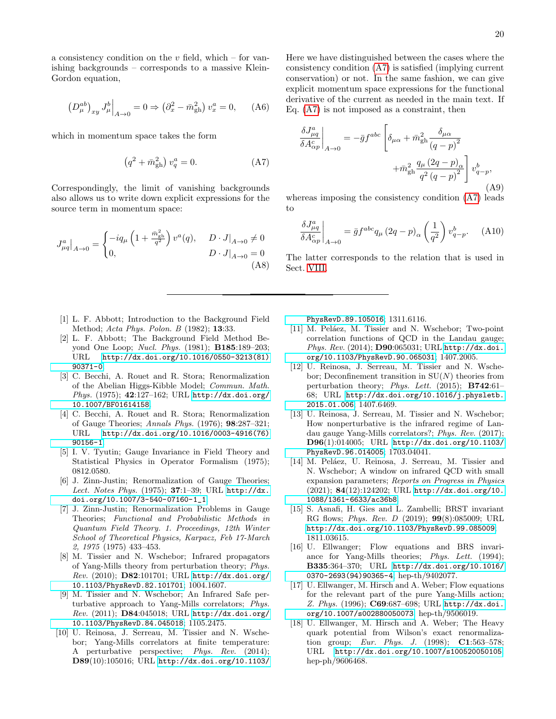a consistency condition on the  $v$  field, which – for vanishing backgrounds – corresponds to a massive Klein-Gordon equation,

$$
\left(D_{\mu}^{ab}\right)_{xy} J_{\mu}^{b} \Big|_{A \to 0} = 0 \Rightarrow \left(\partial_x^2 - \bar{m}_{\text{gh}}^2\right) v_x^a = 0, \quad (A6)
$$

which in momentum space takes the form

$$
\left(q^2 + \bar{m}_{\rm gh}^2\right)v_q^a = 0.\tag{A7}
$$

Correspondingly, the limit of vanishing backgrounds also allows us to write down explicit expressions for the source term in momentum space:

$$
J_{\mu q}^{a}\Big|_{A\to 0} = \begin{cases} -iq_{\mu} \left(1 + \frac{\bar{m}_{\text{gh}}^2}{q^2}\right) v^a(q), & D \cdot J|_{A\to 0} \neq 0\\ 0, & D \cdot J|_{A\to 0} = 0 \end{cases}
$$
(A8)

- <span id="page-19-0"></span>[1] L. F. Abbott; Introduction to the Background Field Method; Acta Phys. Polon. B (1982); 13:33.
- <span id="page-19-1"></span>[2] L. F. Abbott; The Background Field Method Beyond One Loop; Nucl. Phys. (1981); B185:189–203; URL [http://dx.doi.org/10.1016/0550-3213\(81\)](http://dx.doi.org/10.1016/0550-3213(81)90371-0) [90371-0](http://dx.doi.org/10.1016/0550-3213(81)90371-0).
- <span id="page-19-2"></span>[3] C. Becchi, A. Rouet and R. Stora; Renormalization of the Abelian Higgs-Kibble Model; Commun. Math. Phys. (1975); 42:127–162; URL [http://dx.doi.org/](http://dx.doi.org/10.1007/BF01614158) [10.1007/BF01614158](http://dx.doi.org/10.1007/BF01614158).
- [4] C. Becchi, A. Rouet and R. Stora; Renormalization of Gauge Theories; Annals Phys. (1976); 98:287–321; URL [http://dx.doi.org/10.1016/0003-4916\(76\)](http://dx.doi.org/10.1016/0003-4916(76)90156-1) [90156-1](http://dx.doi.org/10.1016/0003-4916(76)90156-1).
- <span id="page-19-3"></span>[5] I. V. Tyutin; Gauge Invariance in Field Theory and Statistical Physics in Operator Formalism (1975); 0812.0580.
- <span id="page-19-4"></span>[6] J. Zinn-Justin; Renormalization of Gauge Theories; *Lect. Notes Phys.* (1975); **37**:1-39; URL [http://dx.](http://dx.doi.org/10.1007/3-540-07160-1_1) [doi.org/10.1007/3-540-07160-1\\_1](http://dx.doi.org/10.1007/3-540-07160-1_1).
- <span id="page-19-5"></span>[7] J. Zinn-Justin; Renormalization Problems in Gauge Theories; Functional and Probabilistic Methods in Quantum Field Theory. 1. Proceedings, 12th Winter School of Theoretical Physics, Karpacz, Feb 17-March 2, 1975 (1975) 433–453.
- <span id="page-19-6"></span>[8] M. Tissier and N. Wschebor; Infrared propagators of Yang-Mills theory from perturbation theory; Phys. Rev. (2010); D82:101701; URL [http://dx.doi.org/](http://dx.doi.org/10.1103/PhysRevD.82.101701) [10.1103/PhysRevD.82.101701](http://dx.doi.org/10.1103/PhysRevD.82.101701); 1004.1607.
- [9] M. Tissier and N. Wschebor; An Infrared Safe perturbative approach to Yang-Mills correlators; Phys. Rev. (2011); D84:045018; URL [http://dx.doi.org/](http://dx.doi.org/10.1103/PhysRevD.84.045018) [10.1103/PhysRevD.84.045018](http://dx.doi.org/10.1103/PhysRevD.84.045018); 1105.2475.
- [10] U. Reinosa, J. Serreau, M. Tissier and N. Wschebor; Yang-Mills correlators at finite temperature: A perturbative perspective; Phys. Rev. (2014); D89(10):105016; URL [http://dx.doi.org/10.1103/](http://dx.doi.org/10.1103/PhysRevD.89.105016)

Here we have distinguished between the cases where the consistency condition [\(A7\)](#page-19-11) is satisfied (implying current conservation) or not. In the same fashion, we can give explicit momentum space expressions for the functional derivative of the current as needed in the main text. If Eq. [\(A7\)](#page-19-11) is not imposed as a constraint, then

$$
\frac{\delta J_{\mu q}^{a}}{\delta A_{\alpha p}^{c}}\Big|_{A\to 0} = -\bar{g}f^{abc} \left[\delta_{\mu\alpha} + \bar{m}_{\text{gh}}^{2} \frac{\delta_{\mu\alpha}}{(q-p)^{2}} + \bar{m}_{\text{gh}}^{2} \frac{q_{\mu} (2q-p)_{\alpha}}{q^{2} (q-p)^{2}}\right] v_{q-p}^{b},
$$
\n(A9)

<span id="page-19-11"></span>whereas imposing the consistency condition [\(A7\)](#page-19-11) leads to

<span id="page-19-10"></span>
$$
\frac{\delta J^a_{\mu q}}{\delta A^c_{\alpha p}}\bigg|_{A\to 0} = \bar{g} f^{abc} q_\mu (2q - p)_\alpha \left(\frac{1}{q^2}\right) v^b_{q-p}.\tag{A10}
$$

The latter corresponds to the relation that is used in Sect. [VIII.](#page-13-3)

[PhysRevD.89.105016](http://dx.doi.org/10.1103/PhysRevD.89.105016); 1311.6116.

- [11] M. Peláez, M. Tissier and N. Wschebor; Two-point correlation functions of QCD in the Landau gauge; *Phys. Rev.*  $(2014)$ ; **D90**:065031; URL [http://dx.doi.](http://dx.doi.org/10.1103/PhysRevD.90.065031) [org/10.1103/PhysRevD.90.065031](http://dx.doi.org/10.1103/PhysRevD.90.065031); 1407.2005.
- [12] U. Reinosa, J. Serreau, M. Tissier and N. Wschebor; Deconfinement transition in  $SU(N)$  theories from perturbation theory; Phys. Lett. (2015); B742:61– 68; URL [http://dx.doi.org/10.1016/j.physletb.](http://dx.doi.org/10.1016/j.physletb.2015.01.006) [2015.01.006](http://dx.doi.org/10.1016/j.physletb.2015.01.006); 1407.6469.
- [13] U. Reinosa, J. Serreau, M. Tissier and N. Wschebor; How nonperturbative is the infrared regime of Landau gauge Yang-Mills correlators?; Phys. Rev. (2017); D96(1):014005; URL [http://dx.doi.org/10.1103/](http://dx.doi.org/10.1103/PhysRevD.96.014005) [PhysRevD.96.014005](http://dx.doi.org/10.1103/PhysRevD.96.014005); 1703.04041.
- <span id="page-19-7"></span>[14] M. Peláez, U. Reinosa, J. Serreau, M. Tissier and N. Wschebor; A window on infrared QCD with small expansion parameters; Reports on Progress in Physics (2021); 84(12):124202; URL [http://dx.doi.org/10.](http://dx.doi.org/10.1088/1361-6633/ac36b8) [1088/1361-6633/ac36b8](http://dx.doi.org/10.1088/1361-6633/ac36b8).
- <span id="page-19-8"></span>[15] S. Asnafi, H. Gies and L. Zambelli; BRST invariant RG flows; Phys. Rev. D (2019); 99(8):085009; URL <http://dx.doi.org/10.1103/PhysRevD.99.085009>; 1811.03615.
- <span id="page-19-9"></span>[16] U. Ellwanger; Flow equations and BRS invariance for Yang-Mills theories; Phys. Lett. (1994); B335:364–370; URL [http://dx.doi.org/10.1016/](http://dx.doi.org/10.1016/0370-2693(94)90365-4) [0370-2693\(94\)90365-4](http://dx.doi.org/10.1016/0370-2693(94)90365-4); hep-th/9402077.
- [17] U. Ellwanger, M. Hirsch and A. Weber; Flow equations for the relevant part of the pure Yang-Mills action; Z. Phys. (1996); C69:687-698; URL [http://dx.doi.](http://dx.doi.org/10.1007/s002880050073) [org/10.1007/s002880050073](http://dx.doi.org/10.1007/s002880050073); hep-th/9506019.
- [18] U. Ellwanger, M. Hirsch and A. Weber; The Heavy quark potential from Wilson's exact renormalization group; *Eur. Phys. J.* (1998); **C1**:563-578; URL <http://dx.doi.org/10.1007/s100520050105>; hep-ph/9606468.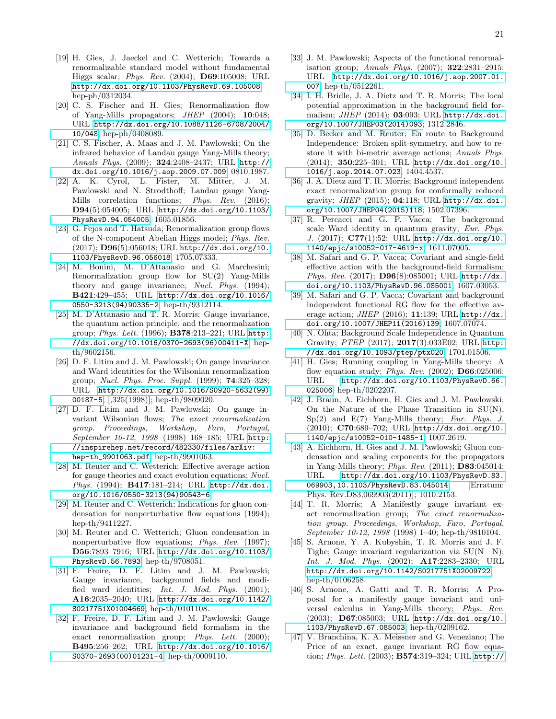- [19] H. Gies, J. Jaeckel and C. Wetterich; Towards a renormalizable standard model without fundamental Higgs scalar; Phys. Rev. (2004); D69:105008; URL <http://dx.doi.org/10.1103/PhysRevD.69.105008>; hep-ph/0312034.
- [20] C. S. Fischer and H. Gies; Renormalization flow of Yang-Mills propagators; JHEP (2004); 10:048; URL [http://dx.doi.org/10.1088/1126-6708/2004/](http://dx.doi.org/10.1088/1126-6708/2004/10/048) [10/048](http://dx.doi.org/10.1088/1126-6708/2004/10/048); hep-ph/0408089.
- <span id="page-20-9"></span>[21] C. S. Fischer, A. Maas and J. M. Pawlowski; On the infrared behavior of Landau gauge Yang-Mills theory; Annals Phys. (2009); 324:2408–2437; URL [http://](http://dx.doi.org/10.1016/j.aop.2009.07.009) [dx.doi.org/10.1016/j.aop.2009.07.009](http://dx.doi.org/10.1016/j.aop.2009.07.009); 0810.1987.
- [22] A. K. Cyrol, L. Fister, M. Mitter, J. M. Pawlowski and N. Strodthoff; Landau gauge Yang-Mills correlation functions; *Phys. Rev.* (2016); D94(5):054005; URL [http://dx.doi.org/10.1103/](http://dx.doi.org/10.1103/PhysRevD.94.054005) [PhysRevD.94.054005](http://dx.doi.org/10.1103/PhysRevD.94.054005); 1605.01856.
- [23] G. Fejos and T. Hatsuda; Renormalization group flows of the N-component Abelian Higgs model; Phys. Rev. (2017); D96(5):056018; URL [http://dx.doi.org/10.](http://dx.doi.org/10.1103/PhysRevD.96.056018) [1103/PhysRevD.96.056018](http://dx.doi.org/10.1103/PhysRevD.96.056018); 1705.07333.
- [24] M. Bonini, M. D'Attanasio and G. Marchesini; Renormalization group flow for SU(2) Yang-Mills theory and gauge invariance; Nucl. Phys. (1994); B421:429–455; URL [http://dx.doi.org/10.1016/](http://dx.doi.org/10.1016/0550-3213(94)90335-2) [0550-3213\(94\)90335-2](http://dx.doi.org/10.1016/0550-3213(94)90335-2); hep-th/9312114.
- [25] M. D'Attanasio and T. R. Morris; Gauge invariance, the quantum action principle, and the renormalization group; Phys. Lett. (1996); **B378**:213-221; URL [http:](http://dx.doi.org/10.1016/0370-2693(96)00411-X) [//dx.doi.org/10.1016/0370-2693\(96\)00411-X](http://dx.doi.org/10.1016/0370-2693(96)00411-X); hepth/9602156.
- [26] D. F. Litim and J. M. Pawlowski; On gauge invariance and Ward identities for the Wilsonian renormalization group; Nucl. Phys. Proc. Suppl. (1999); 74:325–328; URL [http://dx.doi.org/10.1016/S0920-5632\(99\)](http://dx.doi.org/10.1016/S0920-5632(99)00187-5) [00187-5](http://dx.doi.org/10.1016/S0920-5632(99)00187-5); [,325(1998)]; hep-th/9809020.
- <span id="page-20-0"></span>[27] D. F. Litim and J. M. Pawlowski; On gauge invariant Wilsonian flows; The exact renormalization group. Proceedings, Workshop, Faro, Portugal, September 10-12, 1998 (1998) 168–185; URL [http:](http://inspirehep.net/record/482330/files/arXiv:hep-th_9901063.pdf) [//inspirehep.net/record/482330/files/arXiv:](http://inspirehep.net/record/482330/files/arXiv:hep-th_9901063.pdf) [hep-th\\_9901063.pdf](http://inspirehep.net/record/482330/files/arXiv:hep-th_9901063.pdf); hep-th/9901063.
- <span id="page-20-1"></span>[28] M. Reuter and C. Wetterich; Effective average action for gauge theories and exact evolution equations; Nucl. Phys. (1994); B417:181–214; URL [http://dx.doi.](http://dx.doi.org/10.1016/0550-3213(94)90543-6) [org/10.1016/0550-3213\(94\)90543-6](http://dx.doi.org/10.1016/0550-3213(94)90543-6).
- <span id="page-20-3"></span>[29] M. Reuter and C. Wetterich; Indications for gluon condensation for nonperturbative flow equations (1994); hep-th/9411227.
- <span id="page-20-4"></span>[30] M. Reuter and C. Wetterich; Gluon condensation in nonperturbative flow equations; *Phys. Rev.* (1997); D56:7893–7916; URL [http://dx.doi.org/10.1103/](http://dx.doi.org/10.1103/PhysRevD.56.7893) [PhysRevD.56.7893](http://dx.doi.org/10.1103/PhysRevD.56.7893); hep-th/9708051.
- [31] F. Freire, D. F. Litim and J. M. Pawlowski; Gauge invariance, background fields and modified ward identities; Int. J. Mod. Phys. (2001); A16:2035–2040; URL [http://dx.doi.org/10.1142/](http://dx.doi.org/10.1142/S0217751X01004669) [S0217751X01004669](http://dx.doi.org/10.1142/S0217751X01004669); hep-th/0101108.
- [32] F. Freire, D. F. Litim and J. M. Pawlowski; Gauge invariance and background field formalism in the exact renormalization group; Phys. Lett. (2000); B495:256–262; URL [http://dx.doi.org/10.1016/](http://dx.doi.org/10.1016/S0370-2693(00)01231-4) [S0370-2693\(00\)01231-4](http://dx.doi.org/10.1016/S0370-2693(00)01231-4); hep-th/0009110.
- [33] J. M. Pawlowski; Aspects of the functional renormalisation group; Annals Phys. (2007); 322:2831–2915; URL [http://dx.doi.org/10.1016/j.aop.2007.01.](http://dx.doi.org/10.1016/j.aop.2007.01.007) [007](http://dx.doi.org/10.1016/j.aop.2007.01.007); hep-th/0512261.
- [34] I. H. Bridle, J. A. Dietz and T. R. Morris; The local potential approximation in the background field formalism; JHEP (2014); 03:093; URL [http://dx.doi.](http://dx.doi.org/10.1007/JHEP03(2014)093) [org/10.1007/JHEP03\(2014\)093](http://dx.doi.org/10.1007/JHEP03(2014)093); 1312.2846.
- [35] D. Becker and M. Reuter; En route to Background Independence: Broken split-symmetry, and how to restore it with bi-metric average actions; Annals Phys. (2014); 350:225–301; URL [http://dx.doi.org/10.](http://dx.doi.org/10.1016/j.aop.2014.07.023) [1016/j.aop.2014.07.023](http://dx.doi.org/10.1016/j.aop.2014.07.023); 1404.4537.
- [36] J. A. Dietz and T. R. Morris; Background independent exact renormalization group for conformally reduced gravity; JHEP (2015); 04:118; URL [http://dx.doi.](http://dx.doi.org/10.1007/JHEP04(2015)118) [org/10.1007/JHEP04\(2015\)118](http://dx.doi.org/10.1007/JHEP04(2015)118); 1502.07396.
- [37] R. Percacci and G. P. Vacca; The background scale Ward identity in quantum gravity; Eur. Phys. J. (2017); C77(1):52; URL [http://dx.doi.org/10.](http://dx.doi.org/10.1140/epjc/s10052-017-4619-x) [1140/epjc/s10052-017-4619-x](http://dx.doi.org/10.1140/epjc/s10052-017-4619-x); 1611.07005.
- [38] M. Safari and G. P. Vacca; Covariant and single-field effective action with the background-field formalism; Phys. Rev. (2017); D96(8):085001; URL [http://dx.](http://dx.doi.org/10.1103/PhysRevD.96.085001) [doi.org/10.1103/PhysRevD.96.085001](http://dx.doi.org/10.1103/PhysRevD.96.085001); 1607.03053.
- <span id="page-20-8"></span>[39] M. Safari and G. P. Vacca; Covariant and background independent functional RG flow for the effective average action; JHEP (2016); 11:139; URL [http://dx.](http://dx.doi.org/10.1007/JHEP11(2016)139) [doi.org/10.1007/JHEP11\(2016\)139](http://dx.doi.org/10.1007/JHEP11(2016)139); 1607.07074.
- <span id="page-20-2"></span>[40] N. Ohta; Background Scale Independence in Quantum Gravity; PTEP (2017); 2017(3):033E02; URL [http:](http://dx.doi.org/10.1093/ptep/ptx020) [//dx.doi.org/10.1093/ptep/ptx020](http://dx.doi.org/10.1093/ptep/ptx020); 1701.01506.
- <span id="page-20-5"></span>[41] H. Gies; Running coupling in Yang-Mills theory: A flow equation study; *Phys. Rev.*  $(2002)$ ; **D66**:025006; URL [http://dx.doi.org/10.1103/PhysRevD.66.](http://dx.doi.org/10.1103/PhysRevD.66.025006) [025006](http://dx.doi.org/10.1103/PhysRevD.66.025006); hep-th/0202207.
- [42] J. Braun, A. Eichhorn, H. Gies and J. M. Pawlowski; On the Nature of the Phase Transition in SU(N),  $Sp(2)$  and  $E(7)$  Yang-Mills theory; Eur. Phys. J. (2010); C70:689–702; URL [http://dx.doi.org/10.](http://dx.doi.org/10.1140/epjc/s10052-010-1485-1) [1140/epjc/s10052-010-1485-1](http://dx.doi.org/10.1140/epjc/s10052-010-1485-1); 1007.2619.
- <span id="page-20-6"></span>[43] A. Eichhorn, H. Gies and J. M. Pawlowski; Gluon condensation and scaling exponents for the propagators in Yang-Mills theory; Phys. Rev. (2011); D83:045014; URL [http://dx.doi.org/10.1103/PhysRevD.83.](http://dx.doi.org/10.1103/PhysRevD.83.069903, 10.1103/PhysRevD.83.045014) [069903,10.1103/PhysRevD.83.045014](http://dx.doi.org/10.1103/PhysRevD.83.069903, 10.1103/PhysRevD.83.045014); [Erratum: Phys. Rev.D83,069903(2011)]; 1010.2153.
- <span id="page-20-7"></span>[44] T. R. Morris; A Manifestly gauge invariant exact renormalization group; The exact renormalization group. Proceedings, Workshop, Faro, Portugal, September 10-12, 1998 (1998) 1–40; hep-th/9810104.
- [45] S. Arnone, Y. A. Kubyshin, T. R. Morris and J. F. Tighe; Gauge invariant regularization via  $SU(N-N)$ ; Int. J. Mod. Phys. (2002); A17:2283–2330; URL <http://dx.doi.org/10.1142/S0217751X02009722>; hep-th/0106258.
- [46] S. Arnone, A. Gatti and T. R. Morris; A Proposal for a manifestly gauge invariant and universal calculus in Yang-Mills theory; Phys. Rev. (2003); D67:085003; URL [http://dx.doi.org/10.](http://dx.doi.org/10.1103/PhysRevD.67.085003) [1103/PhysRevD.67.085003](http://dx.doi.org/10.1103/PhysRevD.67.085003); hep-th/0209162.
- [47] V. Branchina, K. A. Meissner and G. Veneziano; The Price of an exact, gauge invariant RG flow equation; Phys. Lett. (2003); B574:319–324; URL [http://](http://dx.doi.org/10.1016/j.physletb.2003.09.020)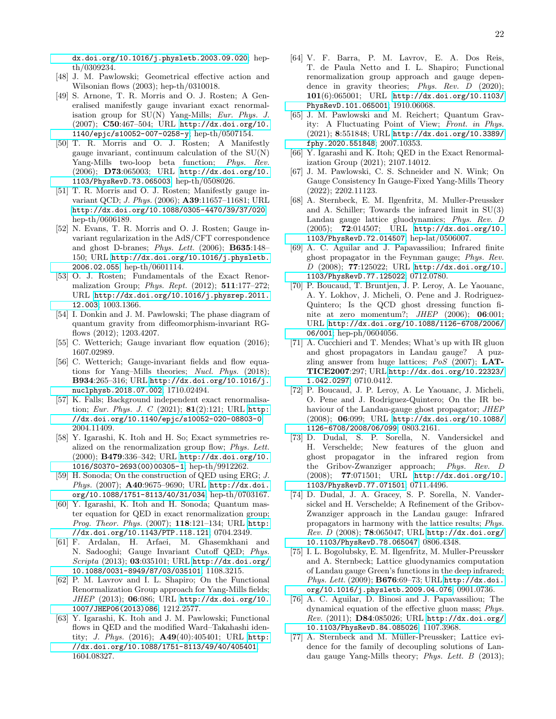[dx.doi.org/10.1016/j.physletb.2003.09.020](http://dx.doi.org/10.1016/j.physletb.2003.09.020); hepth/0309234.

- [48] J. M. Pawlowski; Geometrical effective action and Wilsonian flows (2003); hep-th/0310018.
- [49] S. Arnone, T. R. Morris and O. J. Rosten; A Generalised manifestly gauge invariant exact renormalisation group for  $SU(N)$  Yang-Mills; Eur. Phys. J. (2007); C50:467–504; URL [http://dx.doi.org/10.](http://dx.doi.org/10.1140/epjc/s10052-007-0258-y) [1140/epjc/s10052-007-0258-y](http://dx.doi.org/10.1140/epjc/s10052-007-0258-y); hep-th/0507154.
- [50] T. R. Morris and O. J. Rosten; A Manifestly gauge invariant, continuum calculation of the SU(N) Yang-Mills two-loop beta function; *Phys. Rev.* (2006); D73:065003; URL [http://dx.doi.org/10.](http://dx.doi.org/10.1103/PhysRevD.73.065003) [1103/PhysRevD.73.065003](http://dx.doi.org/10.1103/PhysRevD.73.065003); hep-th/0508026.
- [51] T. R. Morris and O. J. Rosten; Manifestly gauge invariant QCD; *J. Phys.* (2006); **A39**:11657-11681; URL <http://dx.doi.org/10.1088/0305-4470/39/37/020>; hep-th/0606189.
- [52] N. Evans, T. R. Morris and O. J. Rosten; Gauge invariant regularization in the AdS/CFT correspondence and ghost D-branes; Phys. Lett. (2006); B635:148– 150; URL [http://dx.doi.org/10.1016/j.physletb.](http://dx.doi.org/10.1016/j.physletb.2006.02.055) [2006.02.055](http://dx.doi.org/10.1016/j.physletb.2006.02.055); hep-th/0601114.
- [53] O. J. Rosten; Fundamentals of the Exact Renormalization Group; Phys. Rept. (2012); 511:177–272; URL [http://dx.doi.org/10.1016/j.physrep.2011.](http://dx.doi.org/10.1016/j.physrep.2011.12.003) [12.003](http://dx.doi.org/10.1016/j.physrep.2011.12.003); 1003.1366.
- [54] I. Donkin and J. M. Pawlowski; The phase diagram of quantum gravity from diffeomorphism-invariant RGflows (2012); 1203.4207.
- [55] C. Wetterich; Gauge invariant flow equation (2016); 1607.02989.
- [56] C. Wetterich; Gauge-invariant fields and flow equations for Yang–Mills theories; Nucl. Phys. (2018); B934:265–316; URL [http://dx.doi.org/10.1016/j.](http://dx.doi.org/10.1016/j.nuclphysb.2018.07.002) [nuclphysb.2018.07.002](http://dx.doi.org/10.1016/j.nuclphysb.2018.07.002); 1710.02494.
- <span id="page-21-0"></span>[57] K. Falls; Background independent exact renormalisation; Eur. Phys. J. C  $(2021)$ ; 81 $(2)$ :121; URL [http:](http://dx.doi.org/10.1140/epjc/s10052-020-08803-0) [//dx.doi.org/10.1140/epjc/s10052-020-08803-0](http://dx.doi.org/10.1140/epjc/s10052-020-08803-0); 2004.11409.
- <span id="page-21-1"></span>[58] Y. Igarashi, K. Itoh and H. So; Exact symmetries realized on the renormalization group flow; Phys. Lett. (2000); B479:336–342; URL [http://dx.doi.org/10.](http://dx.doi.org/10.1016/S0370-2693(00)00305-1) [1016/S0370-2693\(00\)00305-1](http://dx.doi.org/10.1016/S0370-2693(00)00305-1); hep-th/9912262.
- [59] H. Sonoda; On the construction of QED using ERG; J. Phys. (2007); A40:9675–9690; URL [http://dx.doi.](http://dx.doi.org/10.1088/1751-8113/40/31/034) [org/10.1088/1751-8113/40/31/034](http://dx.doi.org/10.1088/1751-8113/40/31/034); hep-th/0703167.
- [60] Y. Igarashi, K. Itoh and H. Sonoda; Quantum master equation for QED in exact renormalization group; Prog. Theor. Phys. (2007); 118:121-134; URL [http:](http://dx.doi.org/10.1143/PTP.118.121) [//dx.doi.org/10.1143/PTP.118.121](http://dx.doi.org/10.1143/PTP.118.121); 0704.2349.
- [61] F. Ardalan, H. Arfaei, M. Ghasemkhani and N. Sadooghi; Gauge Invariant Cutoff QED; Phys. Scripta (2013); 03:035101; URL [http://dx.doi.org/](http://dx.doi.org/10.1088/0031-8949/87/03/035101) [10.1088/0031-8949/87/03/035101](http://dx.doi.org/10.1088/0031-8949/87/03/035101); 1108.3215.
- [62] P. M. Lavrov and I. L. Shapiro; On the Functional Renormalization Group approach for Yang-Mills fields; JHEP (2013); 06:086; URL [http://dx.doi.org/10.](http://dx.doi.org/10.1007/JHEP06(2013)086) [1007/JHEP06\(2013\)086](http://dx.doi.org/10.1007/JHEP06(2013)086); 1212.2577.
- [63] Y. Igarashi, K. Itoh and J. M. Pawlowski; Functional flows in QED and the modified Ward–Takahashi identity; *J. Phys.* (2016);  $\mathbf{A49}(40):405401$ ; URL [http:](http://dx.doi.org/10.1088/1751-8113/49/40/405401) [//dx.doi.org/10.1088/1751-8113/49/40/405401](http://dx.doi.org/10.1088/1751-8113/49/40/405401); 1604.08327.
- [64] V. F. Barra, P. M. Lavrov, E. A. Dos Reis, T. de Paula Netto and I. L. Shapiro; Functional renormalization group approach and gauge dependence in gravity theories; *Phys. Rev. D* (2020); 101(6):065001; URL [http://dx.doi.org/10.1103/](http://dx.doi.org/10.1103/PhysRevD.101.065001) [PhysRevD.101.065001](http://dx.doi.org/10.1103/PhysRevD.101.065001); 1910.06068.
- [65] J. M. Pawlowski and M. Reichert; Quantum Gravity: A Fluctuating Point of View; Front. in Phys. (2021); 8:551848; URL [http://dx.doi.org/10.3389/](http://dx.doi.org/10.3389/fphy.2020.551848) [fphy.2020.551848](http://dx.doi.org/10.3389/fphy.2020.551848); 2007.10353.
- <span id="page-21-2"></span>[66] Y. Igarashi and K. Itoh; QED in the Exact Renormalization Group (2021); 2107.14012.
- <span id="page-21-3"></span>[67] J. M. Pawlowski, C. S. Schneider and N. Wink; On Gauge Consistency In Gauge-Fixed Yang-Mills Theory (2022); 2202.11123.
- <span id="page-21-4"></span>[68] A. Sternbeck, E. M. Ilgenfritz, M. Muller-Preussker and A. Schiller; Towards the infrared limit in SU(3) Landau gauge lattice gluodynamics; Phys. Rev. D (2005); 72:014507; URL [http://dx.doi.org/10.](http://dx.doi.org/10.1103/PhysRevD.72.014507) [1103/PhysRevD.72.014507](http://dx.doi.org/10.1103/PhysRevD.72.014507); hep-lat/0506007.
- [69] A. C. Aguilar and J. Papavassiliou; Infrared finite ghost propagator in the Feynman gauge; Phys. Rev. D (2008); 77:125022; URL [http://dx.doi.org/10.](http://dx.doi.org/10.1103/PhysRevD.77.125022) [1103/PhysRevD.77.125022](http://dx.doi.org/10.1103/PhysRevD.77.125022); 0712.0780.
- [70] P. Boucaud, T. Bruntjen, J. P. Leroy, A. Le Yaouanc, A. Y. Lokhov, J. Micheli, O. Pene and J. Rodriguez-Quintero; Is the QCD ghost dressing function finite at zero momentum?; JHEP (2006); 06:001; URL [http://dx.doi.org/10.1088/1126-6708/2006/](http://dx.doi.org/10.1088/1126-6708/2006/06/001) [06/001](http://dx.doi.org/10.1088/1126-6708/2006/06/001); hep-ph/0604056.
- [71] A. Cucchieri and T. Mendes; What's up with IR gluon and ghost propagators in Landau gauge? A puzzling answer from huge lattices; PoS (2007); LAT-TICE2007:297; URL [http://dx.doi.org/10.22323/](http://dx.doi.org/10.22323/1.042.0297) [1.042.0297](http://dx.doi.org/10.22323/1.042.0297); 0710.0412.
- [72] P. Boucaud, J. P. Leroy, A. Le Yaouanc, J. Micheli, O. Pene and J. Rodriguez-Quintero; On the IR behaviour of the Landau-gauge ghost propagator; JHEP (2008); 06:099; URL [http://dx.doi.org/10.1088/](http://dx.doi.org/10.1088/1126-6708/2008/06/099) [1126-6708/2008/06/099](http://dx.doi.org/10.1088/1126-6708/2008/06/099); 0803.2161.
- [73] D. Dudal, S. P. Sorella, N. Vandersickel and H. Verschelde; New features of the gluon and ghost propagator in the infrared region from the Gribov-Zwanziger approach; Phys. Rev. D (2008); 77:071501; URL [http://dx.doi.org/10.](http://dx.doi.org/10.1103/PhysRevD.77.071501) [1103/PhysRevD.77.071501](http://dx.doi.org/10.1103/PhysRevD.77.071501); 0711.4496.
- [74] D. Dudal, J. A. Gracey, S. P. Sorella, N. Vandersickel and H. Verschelde; A Refinement of the Gribov-Zwanziger approach in the Landau gauge: Infrared propagators in harmony with the lattice results; Phys. Rev. D (2008); 78:065047; URL [http://dx.doi.org/](http://dx.doi.org/10.1103/PhysRevD.78.065047) [10.1103/PhysRevD.78.065047](http://dx.doi.org/10.1103/PhysRevD.78.065047); 0806.4348.
- [75] I. L. Bogolubsky, E. M. Ilgenfritz, M. Muller-Preussker and A. Sternbeck; Lattice gluodynamics computation of Landau gauge Green's functions in the deep infrared; Phys. Lett. (2009); B676:69-73; URL [http://dx.doi.](http://dx.doi.org/10.1016/j.physletb.2009.04.076) [org/10.1016/j.physletb.2009.04.076](http://dx.doi.org/10.1016/j.physletb.2009.04.076); 0901.0736.
- [76] A. C. Aguilar, D. Binosi and J. Papavassiliou; The dynamical equation of the effective gluon mass; Phys. Rev. (2011); D84:085026; URL [http://dx.doi.org/](http://dx.doi.org/10.1103/PhysRevD.84.085026) [10.1103/PhysRevD.84.085026](http://dx.doi.org/10.1103/PhysRevD.84.085026); 1107.3968.
- [77] A. Sternbeck and M. Müller-Preussker; Lattice evidence for the family of decoupling solutions of Landau gauge Yang-Mills theory; Phys. Lett. B (2013);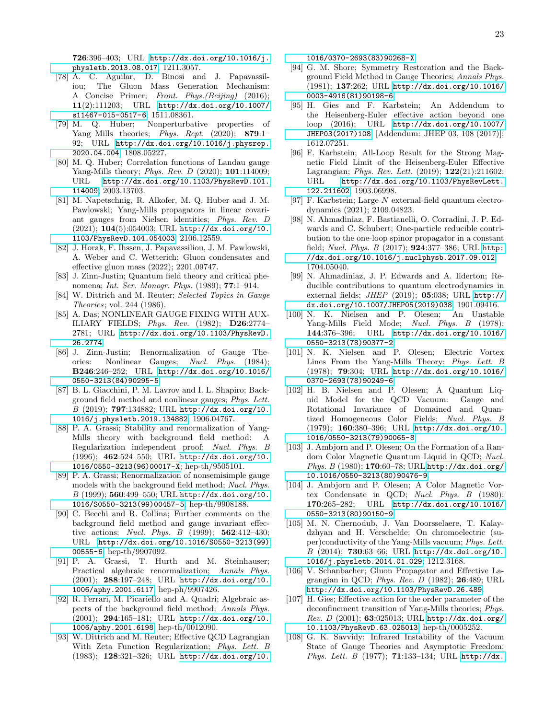726:396–403; URL [http://dx.doi.org/10.1016/j.](http://dx.doi.org/10.1016/j.physletb.2013.08.017) [physletb.2013.08.017](http://dx.doi.org/10.1016/j.physletb.2013.08.017); 1211.3057.

- [78] A. C. Aguilar, D. Binosi and J. Papavassiliou; The Gluon Mass Generation Mechanism: A Concise Primer; Front. Phys.(Beijing) (2016); 11(2):111203; URL [http://dx.doi.org/10.1007/](http://dx.doi.org/10.1007/s11467-015-0517-6) [s11467-015-0517-6](http://dx.doi.org/10.1007/s11467-015-0517-6); 1511.08361.
- [79] M. Q. Huber; Nonperturbative properties of Yang–Mills theories; Phys. Rept.  $(2020)$ ; 879:1– 92; URL [http://dx.doi.org/10.1016/j.physrep.](http://dx.doi.org/10.1016/j.physrep.2020.04.004) [2020.04.004](http://dx.doi.org/10.1016/j.physrep.2020.04.004); 1808.05227.
- [80] M. Q. Huber; Correlation functions of Landau gauge Yang-Mills theory; Phys. Rev. D (2020); 101:114009; URL [http://dx.doi.org/10.1103/PhysRevD.101.](http://dx.doi.org/10.1103/PhysRevD.101.114009) [114009](http://dx.doi.org/10.1103/PhysRevD.101.114009); 2003.13703.
- <span id="page-22-0"></span>[81] M. Napetschnig, R. Alkofer, M. Q. Huber and J. M. Pawlowski; Yang-Mills propagators in linear covariant gauges from Nielsen identities; Phys. Rev. D (2021); 104(5):054003; URL [http://dx.doi.org/10.](http://dx.doi.org/10.1103/PhysRevD.104.054003) [1103/PhysRevD.104.054003](http://dx.doi.org/10.1103/PhysRevD.104.054003); 2106.12559.
- <span id="page-22-1"></span>[82] J. Horak, F. Ihssen, J. Papavassiliou, J. M. Pawlowski, A. Weber and C. Wetterich; Gluon condensates and effective gluon mass (2022); 2201.09747.
- <span id="page-22-2"></span>[83] J. Zinn-Justin; Quantum field theory and critical phenomena; Int. Ser. Monogr. Phys. (1989); 77:1–914.
- <span id="page-22-3"></span>[84] W. Dittrich and M. Reuter; Selected Topics in Gauge Theories; vol. 244 (1986).
- <span id="page-22-4"></span>[85] A. Das; NONLINEAR GAUGE FIXING WITH AUX-ILIARY FIELDS; Phys. Rev. (1982); D26:2774– 2781; URL [http://dx.doi.org/10.1103/PhysRevD.](http://dx.doi.org/10.1103/PhysRevD.26.2774) [26.2774](http://dx.doi.org/10.1103/PhysRevD.26.2774).
- [86] J. Zinn-Justin; Renormalization of Gauge Theories: Nonlinear Gauges; Nucl. Phys. (1984); B246:246–252; URL [http://dx.doi.org/10.1016/](http://dx.doi.org/10.1016/0550-3213(84)90295-5) [0550-3213\(84\)90295-5](http://dx.doi.org/10.1016/0550-3213(84)90295-5).
- <span id="page-22-5"></span>[87] B. L. Giacchini, P. M. Lavrov and I. L. Shapiro; Background field method and nonlinear gauges; Phys. Lett. B (2019); 797:134882; URL [http://dx.doi.org/10.](http://dx.doi.org/10.1016/j.physletb.2019.134882) [1016/j.physletb.2019.134882](http://dx.doi.org/10.1016/j.physletb.2019.134882); 1906.04767.
- <span id="page-22-6"></span>[88] P. A. Grassi; Stability and renormalization of Yang-Mills theory with background field method: A Regularization independent proof; Nucl. Phys. B (1996); 462:524–550; URL [http://dx.doi.org/10.](http://dx.doi.org/10.1016/0550-3213(96)00017-X) [1016/0550-3213\(96\)00017-X](http://dx.doi.org/10.1016/0550-3213(96)00017-X); hep-th/9505101.
- <span id="page-22-7"></span>[89] P. A. Grassi; Renormalization of nonsemisimple gauge models with the background field method; Nucl. Phys.  $B(1999)$ ; 560:499-550; URL [http://dx.doi.org/10.](http://dx.doi.org/10.1016/S0550-3213(99)00457-5) [1016/S0550-3213\(99\)00457-5](http://dx.doi.org/10.1016/S0550-3213(99)00457-5); hep-th/9908188.
- [90] C. Becchi and R. Collina; Further comments on the background field method and gauge invariant effective actions; *Nucl. Phys. B* (1999); **562**:412-430; URL [http://dx.doi.org/10.1016/S0550-3213\(99\)](http://dx.doi.org/10.1016/S0550-3213(99)00555-6) [00555-6](http://dx.doi.org/10.1016/S0550-3213(99)00555-6); hep-th/9907092.
- [91] P. A. Grassi, T. Hurth and M. Steinhauser; Practical algebraic renormalization; Annals Phys. (2001); 288:197–248; URL [http://dx.doi.org/10.](http://dx.doi.org/10.1006/aphy.2001.6117) [1006/aphy.2001.6117](http://dx.doi.org/10.1006/aphy.2001.6117); hep-ph/9907426.
- <span id="page-22-8"></span>[92] R. Ferrari, M. Picariello and A. Quadri; Algebraic aspects of the background field method; Annals Phys. (2001); 294:165–181; URL [http://dx.doi.org/10.](http://dx.doi.org/10.1006/aphy.2001.6198) [1006/aphy.2001.6198](http://dx.doi.org/10.1006/aphy.2001.6198); hep-th/0012090.
- <span id="page-22-9"></span>[93] W. Dittrich and M. Reuter; Effective QCD Lagrangian With Zeta Function Regularization; Phys. Lett. B (1983); 128:321–326; URL [http://dx.doi.org/10.](http://dx.doi.org/10.1016/0370-2693(83)90268-X)

[1016/0370-2693\(83\)90268-X](http://dx.doi.org/10.1016/0370-2693(83)90268-X).

- <span id="page-22-10"></span>[94] G. M. Shore; Symmetry Restoration and the Background Field Method in Gauge Theories; Annals Phys. (1981); 137:262; URL [http://dx.doi.org/10.1016/](http://dx.doi.org/10.1016/0003-4916(81)90198-6) [0003-4916\(81\)90198-6](http://dx.doi.org/10.1016/0003-4916(81)90198-6).
- <span id="page-22-11"></span>[95] H. Gies and F. Karbstein; An Addendum to the Heisenberg-Euler effective action beyond one loop (2016); URL [http://dx.doi.org/10.1007/](http://dx.doi.org/10.1007/JHEP03(2017)108) [JHEP03\(2017\)108](http://dx.doi.org/10.1007/JHEP03(2017)108); [Addendum: JHEP 03, 108 (2017)]; 1612.07251.
- [96] F. Karbstein; All-Loop Result for the Strong Magnetic Field Limit of the Heisenberg-Euler Effective Lagrangian; Phys. Rev. Lett. (2019); 122(21):211602; URL [http://dx.doi.org/10.1103/PhysRevLett.](http://dx.doi.org/10.1103/PhysRevLett.122.211602) [122.211602](http://dx.doi.org/10.1103/PhysRevLett.122.211602); 1903.06998.
- [97] F. Karbstein; Large N external-field quantum electrodynamics (2021); 2109.04823.
- [98] N. Ahmadiniaz, F. Bastianelli, O. Corradini, J. P. Edwards and C. Schubert; One-particle reducible contribution to the one-loop spinor propagator in a constant field; Nucl. Phys. B (2017); 924:377–386; URL [http:](http://dx.doi.org/10.1016/j.nuclphysb.2017.09.012) [//dx.doi.org/10.1016/j.nuclphysb.2017.09.012](http://dx.doi.org/10.1016/j.nuclphysb.2017.09.012); 1704.05040.
- <span id="page-22-12"></span>[99] N. Ahmadiniaz, J. P. Edwards and A. Ilderton; Reducible contributions to quantum electrodynamics in external fields; JHEP (2019); 05:038; URL [http://](http://dx.doi.org/10.1007/JHEP05(2019)038) [dx.doi.org/10.1007/JHEP05\(2019\)038](http://dx.doi.org/10.1007/JHEP05(2019)038); 1901.09416.
- <span id="page-22-13"></span>[100] N. K. Nielsen and P. Olesen; An Unstable Yang-Mills Field Mode; Nucl. Phys. B (1978); 144:376–396; URL [http://dx.doi.org/10.1016/](http://dx.doi.org/10.1016/0550-3213(78)90377-2) [0550-3213\(78\)90377-2](http://dx.doi.org/10.1016/0550-3213(78)90377-2).
- <span id="page-22-14"></span>[101] N. K. Nielsen and P. Olesen; Electric Vortex Lines From the Yang-Mills Theory; Phys. Lett. B (1978); 79:304; URL [http://dx.doi.org/10.1016/](http://dx.doi.org/10.1016/0370-2693(78)90249-6) [0370-2693\(78\)90249-6](http://dx.doi.org/10.1016/0370-2693(78)90249-6).
- [102] H. B. Nielsen and P. Olesen; A Quantum Liquid Model for the QCD Vacuum: Gauge and Rotational Invariance of Domained and Quantized Homogeneous Color Fields; Nucl. Phys. B (1979); 160:380–396; URL [http://dx.doi.org/10.](http://dx.doi.org/10.1016/0550-3213(79)90065-8) [1016/0550-3213\(79\)90065-8](http://dx.doi.org/10.1016/0550-3213(79)90065-8).
- [103] J. Ambjorn and P. Olesen; On the Formation of a Random Color Magnetic Quantum Liquid in QCD; Nucl. Phys.  $B(1980); 170:60–78; \text{ URL http://dx.doi.org/})$  $B(1980); 170:60–78; \text{ URL http://dx.doi.org/})$  $B(1980); 170:60–78; \text{ URL http://dx.doi.org/})$ [10.1016/0550-3213\(80\)90476-9](http://dx.doi.org/10.1016/0550-3213(80)90476-9).
- [104] J. Ambjorn and P. Olesen; A Color Magnetic Vortex Condensate in QCD; Nucl. Phys. B (1980); 170:265–282; URL [http://dx.doi.org/10.1016/](http://dx.doi.org/10.1016/0550-3213(80)90150-9) [0550-3213\(80\)90150-9](http://dx.doi.org/10.1016/0550-3213(80)90150-9).
- <span id="page-22-15"></span>[105] M. N. Chernodub, J. Van Doorsselaere, T. Kalaydzhyan and H. Verschelde; On chromoelectric (super)conductivity of the Yang-Mills vacuum; Phys. Lett.  $B$  (2014); 730:63-66; URL [http://dx.doi.org/10.](http://dx.doi.org/10.1016/j.physletb.2014.01.029) [1016/j.physletb.2014.01.029](http://dx.doi.org/10.1016/j.physletb.2014.01.029); 1212.3168.
- <span id="page-22-16"></span>[106] V. Schanbacher; Gluon Propagator and Effective Lagrangian in QCD; Phys. Rev. D (1982); 26:489; URL <http://dx.doi.org/10.1103/PhysRevD.26.489>.
- <span id="page-22-17"></span>[107] H. Gies; Effective action for the order parameter of the deconfinement transition of Yang-Mills theories; Phys. Rev. D (2001); 63:025013; URL [http://dx.doi.org/](http://dx.doi.org/10.1103/PhysRevD.63.025013) [10.1103/PhysRevD.63.025013](http://dx.doi.org/10.1103/PhysRevD.63.025013); hep-th/0005252.
- <span id="page-22-18"></span>[108] G. K. Savvidy; Infrared Instability of the Vacuum State of Gauge Theories and Asymptotic Freedom; Phys. Lett. B (1977); 71:133-134; URL [http://dx.](http://dx.doi.org/10.1016/0370-2693(77)90759-6)